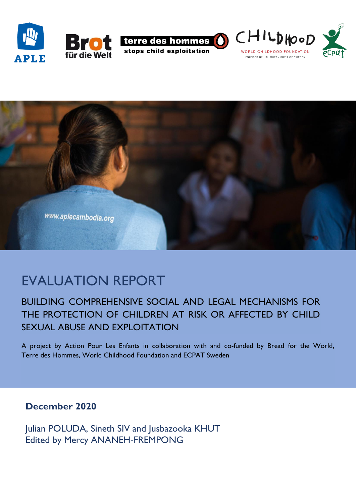







# EVALUATION REPORT

# BUILDING COMPREHENSIVE SOCIAL AND LEGAL MECHANISMS FOR THE PROTECTION OF CHILDREN AT RISK OR AFFECTED BY CHILD SEXUAL ABUSE AND EXPLOITATION

A project by Action Pour Les Enfants in collaboration with and co-funded by Bread for the World, Terre des Hommes, World Childhood Foundation and ECPAT Sweden

# **December 2020**

Julian POLUDA, Sineth SIV and Jusbazooka KHUT Edited by Mercy ANANEH-FREMPONG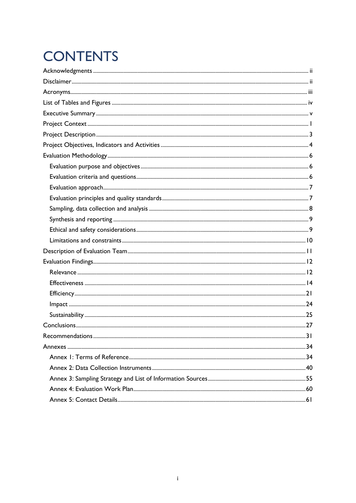# **CONTENTS**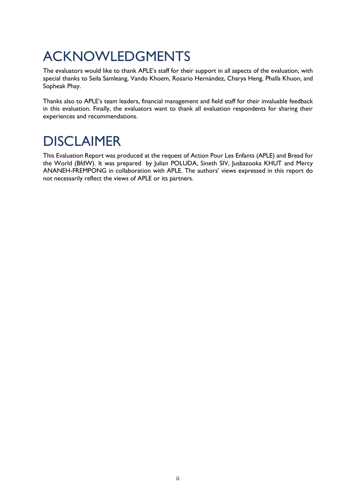# <span id="page-2-0"></span>ACKNOWLEDGMENTS

The evaluators would like to thank APLE's staff for their support in all aspects of the evaluation, with special thanks to Seila Samleang, Vando Khoem, Rosario Hernández, Charya Heng, Phalla Khuon, and Sopheak Phay.

Thanks also to APLE's team leaders, financial management and field staff for their invaluable feedback in this evaluation. Finally, the evaluators want to thank all evaluation respondents for sharing their experiences and recommendations.

# <span id="page-2-1"></span>DISCLAIMER

This Evaluation Report was produced at the request of Action Pour Les Enfants (APLE) and Bread for the World (BfdW). It was prepared by Julian POLUDA, Sineth SIV, Jusbazooka KHUT and Mercy ANANEH-FREMPONG in collaboration with APLE. The authors' views expressed in this report do not necessarily reflect the views of APLE or its partners.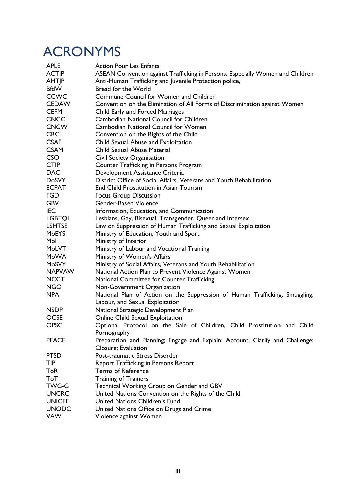# <span id="page-3-0"></span>ACRONYMS

| <b>APLE</b>   | <b>Action Pour Les Enfants</b>                                                 |  |  |  |  |
|---------------|--------------------------------------------------------------------------------|--|--|--|--|
| <b>ACTIP</b>  | ASEAN Convention against Trafficking in Persons, Especially Women and Children |  |  |  |  |
| <b>AHTIP</b>  | Anti-Human Trafficking and Juvenile Protection police,                         |  |  |  |  |
| <b>BfdW</b>   | Bread for the World                                                            |  |  |  |  |
| <b>CCWC</b>   | Commune Council for Women and Children                                         |  |  |  |  |
| <b>CEDAW</b>  | Convention on the Elimination of All Forms of Discrimination against Women     |  |  |  |  |
| <b>CEFM</b>   | Child Early and Forced Marriages                                               |  |  |  |  |
| <b>CNCC</b>   | Cambodian National Council for Children                                        |  |  |  |  |
| <b>CNCW</b>   | <b>Cambodian National Council for Women</b>                                    |  |  |  |  |
| <b>CRC</b>    | Convention on the Rights of the Child                                          |  |  |  |  |
| <b>CSAE</b>   | Child Sexual Abuse and Exploitation                                            |  |  |  |  |
| <b>CSAM</b>   | Child Sexual Abuse Material                                                    |  |  |  |  |
| <b>CSO</b>    | Civil Society Organisation                                                     |  |  |  |  |
| <b>CTIP</b>   | Counter Trafficking in Persons Program                                         |  |  |  |  |
| <b>DAC</b>    | Development Assistance Criteria                                                |  |  |  |  |
| <b>DoSVY</b>  | District Office of Social Affairs, Veterans and Youth Rehabilitation           |  |  |  |  |
| <b>ECPAT</b>  | End Child Prostitution in Asian Tourism                                        |  |  |  |  |
| <b>FGD</b>    | <b>Focus Group Discussion</b>                                                  |  |  |  |  |
| <b>GBV</b>    | <b>Gender-Based Violence</b>                                                   |  |  |  |  |
| <b>IEC</b>    | Information, Education, and Communication                                      |  |  |  |  |
| <b>LGBTQI</b> | Lesbians, Gay, Bisexual, Transgender, Queer and Intersex                       |  |  |  |  |
| <b>LSHTSE</b> | Law on Suppression of Human Trafficking and Sexual Exploitation                |  |  |  |  |
| <b>MoEYS</b>  | Ministry of Education, Youth and Sport                                         |  |  |  |  |
| Mol           | Ministry of Interior                                                           |  |  |  |  |
| MoLVT         | Ministry of Labour and Vocational Training                                     |  |  |  |  |
| MoWA          | Ministry of Women's Affairs                                                    |  |  |  |  |
| MoSVY         | Ministry of Social Affairs, Veterans and Youth Rehabilitation                  |  |  |  |  |
| <b>NAPVAW</b> | National Action Plan to Prevent Violence Against Women                         |  |  |  |  |
| <b>NCCT</b>   | National Committee for Counter Trafficking                                     |  |  |  |  |
| <b>NGO</b>    | Non-Government Organization                                                    |  |  |  |  |
| <b>NPA</b>    | National Plan of Action on the Suppression of Human Trafficking, Smuggling,    |  |  |  |  |
|               | Labour, and Sexual Exploitation                                                |  |  |  |  |
| <b>NSDP</b>   | National Strategic Development Plan                                            |  |  |  |  |
| <b>OCSE</b>   | Online Child Sexual Exploitation                                               |  |  |  |  |
| <b>OPSC</b>   | Optional Protocol on the Sale of Children, Child Prostitution and Child        |  |  |  |  |
|               | Pornography                                                                    |  |  |  |  |
| <b>PEACE</b>  | Preparation and Planning; Engage and Explain; Account, Clarify and Challenge;  |  |  |  |  |
|               | Closure; Evaluation                                                            |  |  |  |  |
| <b>PTSD</b>   | Post-traumatic Stress Disorder                                                 |  |  |  |  |
| <b>TIP</b>    | <b>Report Trafficking in Persons Report</b>                                    |  |  |  |  |
| ToR           | <b>Terms of Reference</b>                                                      |  |  |  |  |
| ToT           | <b>Training of Trainers</b>                                                    |  |  |  |  |
| <b>TWG-G</b>  | Technical Working Group on Gender and GBV                                      |  |  |  |  |
| <b>UNCRC</b>  | United Nations Convention on the Rights of the Child                           |  |  |  |  |
| <b>UNICEF</b> | United Nations Children's Fund                                                 |  |  |  |  |
| <b>UNODC</b>  | United Nations Office on Drugs and Crime                                       |  |  |  |  |
| <b>VAW</b>    | Violence against Women                                                         |  |  |  |  |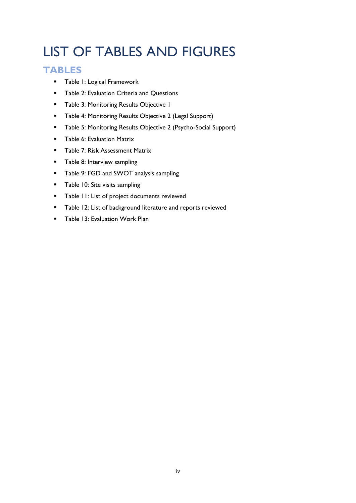# <span id="page-4-0"></span>LIST OF TABLES AND FIGURES

## **TABLES**

- Table 1: Logical Framework
- Table 2: Evaluation Criteria and Questions
- Table 3: Monitoring Results Objective 1
- Table 4: Monitoring Results Objective 2 (Legal Support)
- Table 5: Monitoring Results Objective 2 (Psycho-Social Support)
- **•** Table 6: Evaluation Matrix
- Table 7: Risk Assessment Matrix
- Table 8: Interview sampling
- Table 9: FGD and SWOT analysis sampling
- Table 10: Site visits sampling
- Table 11: List of project documents reviewed
- Table 12: List of background literature and reports reviewed
- Table 13: Evaluation Work Plan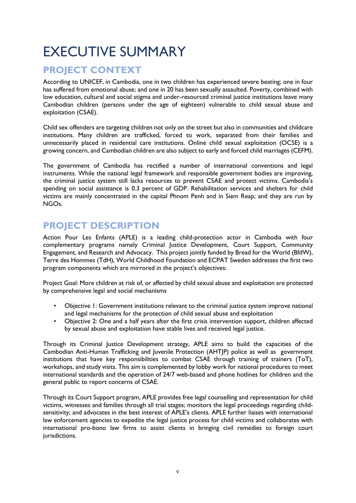# <span id="page-5-0"></span>EXECUTIVE SUMMARY

# **PROJECT CONTEXT**

According to UNICEF, in Cambodia, one in two children has experienced severe beating; one in four has suffered from emotional abuse; and one in 20 has been sexually assaulted. Poverty, combined with low education, cultural and social stigma and under-resourced criminal justice institutions leave many Cambodian children (persons under the age of eighteen) vulnerable to child sexual abuse and exploitation (CSAE).

Child sex offenders are targeting children not only on the street but also in communities and childcare institutions. Many children are trafficked, forced to work, separated from their families and unnecessarily placed in residential care institutions. Online child sexual exploitation (OCSE) is a growing concern, and Cambodian children are also subject to early and forced child marriages (CEFM).

The government of Cambodia has rectified a number of international conventions and legal instruments. While the national legal framework and responsible government bodies are improving, the criminal justice system still lacks resources to prevent CSAE and protect victims. Cambodia's spending on social assistance is 0.3 percent of GDP. Rehabilitation services and shelters for child victims are mainly concentrated in the capital Phnom Penh and in Siem Reap; and they are run by NGOs.

# **PROJECT DESCRIPTION**

Action Pour Les Enfants (APLE) is a leading child-protection actor in Cambodia with four complementary programs namely Criminal Justice Development, Court Support, Community Engagement, and Research and Advocacy. This project jointly funded by Bread for the World (BfdW), Terre des Hommes (TdH), World Childhood Foundation and ECPAT Sweden addresses the first two program components which are mirrored in the project's objectives:

Project Goal: More children at risk of, or affected by child sexual abuse and exploitation are protected by comprehensive legal and social mechanisms

- Objective 1: Government institutions relevant to the criminal justice system improve national and legal mechanisms for the protection of child sexual abuse and exploitation
- Objective 2: One and a half years after the first crisis intervention support, children affected by sexual abuse and exploitation have stable lives and received legal justice.

Through its Criminal Justice Development strategy, APLE aims to build the capacities of the Cambodian Anti-Human Trafficking and Juvenile Protection (AHTJP) police as well as government institutions that have key responsibilities to combat CSAE through training of trainers (ToT), workshops, and study visits. This aim is complemented by lobby work for national procedures to meet international standards and the operation of 24/7 web-based and phone hotlines for children and the general public to report concerns of CSAE.

Through its Court Support program, APLE provides free legal counselling and representation for child victims, witnesses and families through all trial stages; monitors the legal proceedings regarding childsensitivity; and advocates in the best interest of APLE's clients. APLE further liaises with international law enforcement agencies to expedite the legal justice process for child victims and collaborates with international pro-bono law firms to assist clients in bringing civil remedies to foreign court jurisdictions.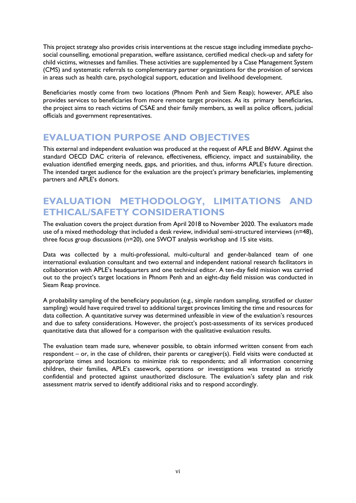This project strategy also provides crisis interventions at the rescue stage including immediate psychosocial counselling, emotional preparation, welfare assistance, certified medical check-up and safety for child victims, witnesses and families. These activities are supplemented by a Case Management System (CMS) and systematic referrals to complementary partner organizations for the provision of services in areas such as health care, psychological support, education and livelihood development.

Beneficiaries mostly come from two locations (Phnom Penh and Siem Reap); however, APLE also provides services to beneficiaries from more remote target provinces. As its primary beneficiaries, the project aims to reach victims of CSAE and their family members, as well as police officers, judicial officials and government representatives.

## **EVALUATION PURPOSE AND OBJECTIVES**

This external and independent evaluation was produced at the request of APLE and BfdW. Against the standard OECD DAC criteria of relevance, effectiveness, efficiency, impact and sustainability, the evaluation identified emerging needs, gaps, and priorities, and thus, informs APLE's future direction. The intended target audience for the evaluation are the project's primary beneficiaries, implementing partners and APLE's donors.

# **EVALUATION METHODOLOGY, LIMITATIONS AND ETHICAL/SAFETY CONSIDERATIONS**

The evaluation covers the project duration from April 2018 to November 2020. The evaluators made use of a mixed methodology that included a desk review, individual semi-structured interviews (n=48), three focus group discussions (n=20), one SWOT analysis workshop and 15 site visits.

Data was collected by a multi-professional, multi-cultural and gender-balanced team of one international evaluation consultant and two external and independent national research facilitators in collaboration with APLE's headquarters and one technical editor. A ten-day field mission was carried out to the project's target locations in Phnom Penh and an eight-day field mission was conducted in Sieam Reap province.

A probability sampling of the beneficiary population (e.g., simple random sampling, stratified or cluster sampling) would have required travel to additional target provinces limiting the time and resources for data collection. A quantitative survey was determined unfeasible in view of the evaluation's resources and due to safety considerations. However, the project's post-assessments of its services produced quantitative data that allowed for a comparison with the qualitative evaluation results.

The evaluation team made sure, whenever possible, to obtain informed written consent from each respondent – or, in the case of children, their parents or caregiver(s). Field visits were conducted at appropriate times and locations to minimize risk to respondents; and all information concerning children, their families, APLE's casework, operations or investigations was treated as strictly confidential and protected against unauthorized disclosure. The evaluation's safety plan and risk assessment matrix served to identify additional risks and to respond accordingly.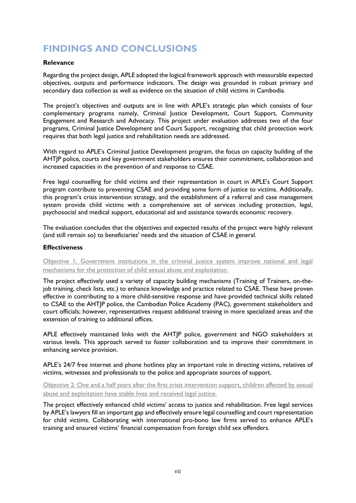# **FINDINGS AND CONCLUSIONS**

### **Relevance**

Regarding the project design, APLE adopted the logical framework approach with measurable expected objectives, outputs and performance indicators. The design was grounded in robust primary and secondary data collection as well as evidence on the situation of child victims in Cambodia.

The project's objectives and outputs are in line with APLE's strategic plan which consists of four complementary programs namely, Criminal Justice Development, Court Support, Community Engagement and Research and Advocacy. This project under evaluation addresses two of the four programs, Criminal Justice Development and Court Support, recognizing that child protection work requires that both legal justice and rehabilitation needs are addressed.

With regard to APLE's Criminal Justice Development program, the focus on capacity building of the AHTJP police, courts and key government stakeholders ensures their commitment, collaboration and increased capacities in the prevention of and response to CSAE.

Free legal counselling for child victims and their representation in court in APLE's Court Support program contribute to preventing CSAE and providing some form of justice to victims. Additionally, this program's crisis intervention strategy, and the establishment of a referral and case management system provide child victims with a comprehensive set of services including protection, legal, psychosocial and medical support, educational aid and assistance towards economic recovery.

The evaluation concludes that the objectives and expected results of the project were highly relevant (and still remain so) to beneficiaries' needs and the situation of CSAE in general.

## **Effectiveness**

Objective 1: Government institutions in the criminal justice system improve national and legal mechanisms for the protection of child sexual abuse and exploitation.

The project effectively used a variety of capacity building mechanisms (Training of Trainers, on-thejob training, check lists, etc.) to enhance knowledge and practice related to CSAE. These have proven effective in contributing to a more child-sensitive response and have provided technical skills related to CSAE to the AHTJP police, the Cambodian Police Academy (PAC), government stakeholders and court officials; however, representatives request additional training in more specialized areas and the extension of training to additional offices.

APLE effectively maintained links with the AHTJP police, government and NGO stakeholders at various levels. This approach served to foster collaboration and to improve their commitment in enhancing service provision.

APLE's 24/7 free internet and phone hotlines play an important role in directing victims, relatives of victims, witnesses and professionals to the police and appropriate sources of support.

Objective 2: One and a half years after the first crisis intervention support, children affected by sexual abuse and exploitation have stable lives and received legal justice.

The project effectively enhanced child victims' access to justice and rehabilitation. Free legal services by APLE's lawyers fill an important gap and effectively ensure legal counselling and court representation for child victims. Collaborating with international pro-bono law firms served to enhance APLE's training and ensured victims' financial compensation from foreign child sex offenders.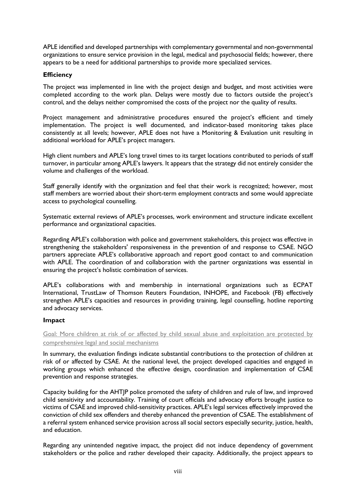APLE identified and developed partnerships with complementary governmental and non-governmental organizations to ensure service provision in the legal, medical and psychosocial fields; however, there appears to be a need for additional partnerships to provide more specialized services.

## **Efficiency**

The project was implemented in line with the project design and budget, and most activities were completed according to the work plan. Delays were mostly due to factors outside the project's control, and the delays neither compromised the costs of the project nor the quality of results.

Project management and administrative procedures ensured the project's efficient and timely implementation. The project is well documented, and indicator-based monitoring takes place consistently at all levels; however, APLE does not have a Monitoring & Evaluation unit resulting in additional workload for APLE's project managers.

High client numbers and APLE's long travel times to its target locations contributed to periods of staff turnover, in particular among APLE's lawyers. It appears that the strategy did not entirely consider the volume and challenges of the workload.

Staff generally identify with the organization and feel that their work is recognized; however, most staff members are worried about their short-term employment contracts and some would appreciate access to psychological counselling.

Systematic external reviews of APLE's processes, work environment and structure indicate excellent performance and organizational capacities.

Regarding APLE's collaboration with police and government stakeholders, this project was effective in strengthening the stakeholders' responsiveness in the prevention of and response to CSAE. NGO partners appreciate APLE's collaborative approach and report good contact to and communication with APLE. The coordination of and collaboration with the partner organizations was essential in ensuring the project's holistic combination of services.

APLE's collaborations with and membership in international organizations such as ECPAT International, TrustLaw of Thomson Reuters Foundation, INHOPE, and Facebook (FB) effectively strengthen APLE's capacities and resources in providing training, legal counselling, hotline reporting and advocacy services.

### **Impact**

Goal: More children at risk of or affected by child sexual abuse and exploitation are protected by comprehensive legal and social mechanisms

In summary, the evaluation findings indicate substantial contributions to the protection of children at risk of or affected by CSAE. At the national level, the project developed capacities and engaged in working groups which enhanced the effective design, coordination and implementation of CSAE prevention and response strategies.

Capacity building for the AHTJP police promoted the safety of children and rule of law, and improved child sensitivity and accountability. Training of court officials and advocacy efforts brought justice to victims of CSAE and improved child-sensitivity practices. APLE's legal services effectively improved the conviction of child sex offenders and thereby enhanced the prevention of CSAE. The establishment of a referral system enhanced service provision across all social sectors especially security, justice, health, and education.

Regarding any unintended negative impact, the project did not induce dependency of government stakeholders or the police and rather developed their capacity. Additionally, the project appears to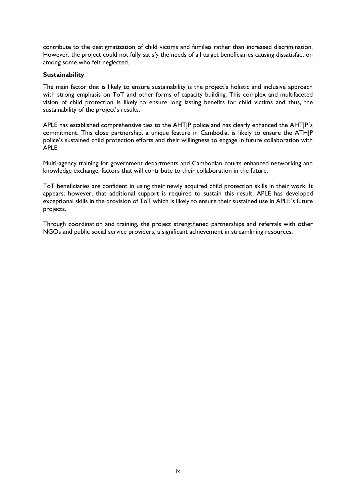contribute to the destigmatization of child victims and families rather than increased discrimination. However, the project could not fully satisfy the needs of all target beneficiaries causing dissatisfaction among some who felt neglected.

### **Sustainability**

The main factor that is likely to ensure sustainability is the project's holistic and inclusive approach with strong emphasis on ToT and other forms of capacity building. This complex and multifaceted vision of child protection is likely to ensure long lasting benefits for child victims and thus, the sustainability of the project's results.

APLE has established comprehensive ties to the AHTJP police and has clearly enhanced the AHTJP´s commitment. This close partnership, a unique feature in Cambodia, is likely to ensure the ATHJP police's sustained child protection efforts and their willingness to engage in future collaboration with APLE.

Multi-agency training for government departments and Cambodian courts enhanced networking and knowledge exchange, factors that will contribute to their collaboration in the future.

ToT beneficiaries are confident in using their newly acquired child protection skills in their work. It appears; however, that additional support is required to sustain this result. APLE has developed exceptional skills in the provision of ToT which is likely to ensure their sustained use in APLE´s future projects.

Through coordination and training, the project strengthened partnerships and referrals with other NGOs and public social service providers, a significant achievement in streamlining resources.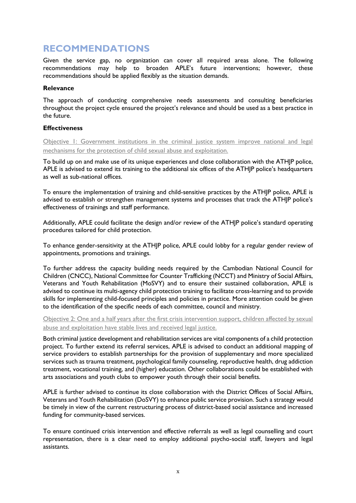# **RECOMMENDATIONS**

Given the service gap, no organization can cover all required areas alone. The following recommendations may help to broaden APLE's future interventions; however, these recommendations should be applied flexibly as the situation demands.

### **Relevance**

The approach of conducting comprehensive needs assessments and consulting beneficiaries throughout the project cycle ensured the project's relevance and should be used as a best practice in the future.

## **Effectiveness**

Objective 1: Government institutions in the criminal justice system improve national and legal mechanisms for the protection of child sexual abuse and exploitation.

To build up on and make use of its unique experiences and close collaboration with the ATHJP police, APLE is advised to extend its training to the additional six offices of the ATHIP police's headquarters as well as sub-national offices.

To ensure the implementation of training and child-sensitive practices by the ATHJP police, APLE is advised to establish or strengthen management systems and processes that track the ATHJP police's effectiveness of trainings and staff performance.

Additionally, APLE could facilitate the design and/or review of the ATHJP police's standard operating procedures tailored for child protection.

To enhance gender-sensitivity at the ATHJP police, APLE could lobby for a regular gender review of appointments, promotions and trainings.

To further address the capacity building needs required by the Cambodian National Council for Children (CNCC), National Committee for Counter Trafficking (NCCT) and Ministry of Social Affairs, Veterans and Youth Rehabilitation (MoSVY) and to ensure their sustained collaboration, APLE is advised to continue its multi-agency child protection training to facilitate cross-learning and to provide skills for implementing child-focused principles and policies in practice. More attention could be given to the identification of the specific needs of each committee, council and ministry.

Objective 2: One and a half years after the first crisis intervention support, children affected by sexual abuse and exploitation have stable lives and received legal justice.

Both criminal justice development and rehabilitation services are vital components of a child protection project. To further extend its referral services, APLE is advised to conduct an additional mapping of service providers to establish partnerships for the provision of supplementary and more specialized services such as trauma treatment, psychological family counseling, reproductive health, drug addiction treatment, vocational training, and (higher) education. Other collaborations could be established with arts associations and youth clubs to empower youth through their social benefits.

APLE is further advised to continue its close collaboration with the District Offices of Social Affairs, Veterans and Youth Rehabilitation (DoSVY) to enhance public service provision. Such a strategy would be timely in view of the current restructuring process of district-based social assistance and increased funding for community-based services.

To ensure continued crisis intervention and effective referrals as well as legal counselling and court representation, there is a clear need to employ additional psycho-social staff, lawyers and legal assistants.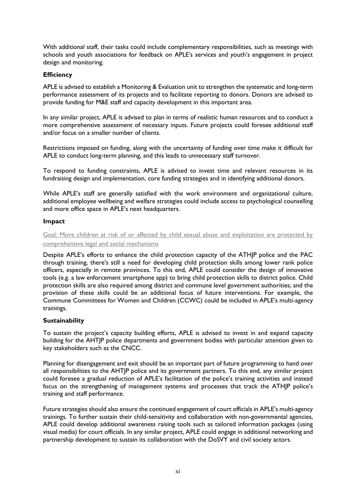With additional staff, their tasks could include complementary responsibilities, such as meetings with schools and youth associations for feedback on APLE's services and youth's engagement in project design and monitoring.

## **Efficiency**

APLE is advised to establish a Monitoring & Evaluation unit to strengthen the systematic and long-term performance assessment of its projects and to facilitate reporting to donors. Donors are advised to provide funding for M&E staff and capacity development in this important area.

In any similar project, APLE is advised to plan in terms of realistic human resources and to conduct a more comprehensive assessment of necessary inputs. Future projects could foresee additional staff and/or focus on a smaller number of clients.

Restrictions imposed on funding, along with the uncertainty of funding over time make it difficult for APLE to conduct long-term planning, and this leads to unnecessary staff turnover.

To respond to funding constraints, APLE is advised to invest time and relevant resources in its fundraising design and implementation, core funding strategies and in identifying additional donors.

While APLE's staff are generally satisfied with the work environment and organizational culture, additional employee wellbeing and welfare strategies could include access to psychological counselling and more office space in APLE's next headquarters.

### **Impact**

Goal: More children at risk of or affected by child sexual abuse and exploitation are protected by comprehensive legal and social mechanisms

Despite APLE's efforts to enhance the child protection capacity of the ATHJP police and the PAC through training, there's still a need for developing child protection skills among lower rank police officers, especially in remote provinces. To this end, APLE could consider the design of innovative tools (e.g. a law enforcement smartphone app) to bring child protection skills to district police. Child protection skills are also required among district and commune level government authorities; and the provision of these skills could be an additional focus of future interventions. For example, the Commune Committees for Women and Children (CCWC) could be included in APLE's multi-agency trainings.

### **Sustainability**

To sustain the project's capacity building efforts, APLE is advised to invest in and expand capacity building for the AHTJP police departments and government bodies with particular attention given to key stakeholders such as the CNCC.

Planning for disengagement and exit should be an important part of future programming to hand over all responsibilities to the AHTJP police and its government partners. To this end, any similar project could foresee a gradual reduction of APLE's facilitation of the police's training activities and instead focus on the strengthening of management systems and processes that track the ATHJP police's training and staff performance.

Future strategies should also ensure the continued engagement of court officials in APLE's multi-agency trainings. To further sustain their child-sensitivity and collaboration with non-governmental agencies, APLE could develop additional awareness raising tools such as tailored information packages (using visual media) for court officials. In any similar project, APLE could engage in additional networking and partnership development to sustain its collaboration with the DoSVY and civil society actors.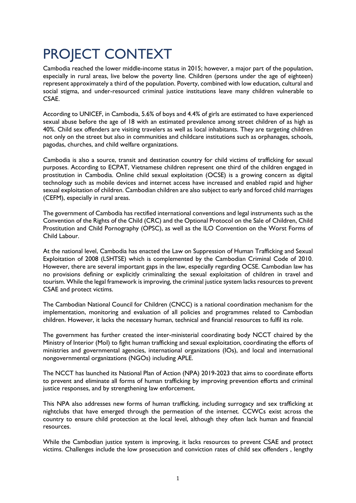# <span id="page-12-0"></span>PROJECT CONTEXT

Cambodia reached the lower middle-income status in 2015; however, a major part of the population, especially in rural areas, live below the poverty line. Children (persons under the age of eighteen) represent approximately a third of the population. Poverty, combined with low education, cultural and social stigma, and under-resourced criminal justice institutions leave many children vulnerable to CSAE.

According to UNICEF, in Cambodia, 5.6% of boys and 4.4% of girls are estimated to have experienced sexual abuse before the age of 18 with an estimated prevalence among street children of as high as 40%. Child sex offenders are visiting travelers as well as local inhabitants. They are targeting children not only on the street but also in communities and childcare institutions such as orphanages, schools, pagodas, churches, and child welfare organizations.

Cambodia is also a source, transit and destination country for child victims of trafficking for sexual purposes. According to ECPAT, Vietnamese children represent one third of the children engaged in prostitution in Cambodia. Online child sexual exploitation (OCSE) is a growing concern as digital technology such as mobile devices and internet access have increased and enabled rapid and higher sexual exploitation of children. Cambodian children are also subject to early and forced child marriages (CEFM), especially in rural areas.

The government of Cambodia has rectified international conventions and legal instruments such as the Convention of the Rights of the Child (CRC) and the Optional Protocol on the Sale of Children, Child Prostitution and Child Pornography (OPSC), as well as the ILO Convention on the Worst Forms of Child Labour.

At the national level, Cambodia has enacted the Law on Suppression of Human Trafficking and Sexual Exploitation of 2008 (LSHTSE) which is complemented by the Cambodian Criminal Code of 2010. However, there are several important gaps in the law, especially regarding OCSE. Cambodian law has no provisions defining or explicitly criminalizing the sexual exploitation of children in travel and tourism. While the legal framework is improving, the criminal justice system lacks resources to prevent CSAE and protect victims.

The Cambodian National Council for Children (CNCC) is a national coordination mechanism for the implementation, monitoring and evaluation of all policies and programmes related to Cambodian children. However, it lacks the necessary human, technical and financial resources to fulfil its role.

The government has further created the inter-ministerial coordinating body NCCT chaired by the Ministry of Interior (MoI) to fight human trafficking and sexual exploitation, coordinating the efforts of ministries and governmental agencies, international organizations (IOs), and local and international nongovernmental organizations (NGOs) including APLE.

The NCCT has launched its National Plan of Action (NPA) 2019-2023 that aims to coordinate efforts to prevent and eliminate all forms of human trafficking by improving prevention efforts and criminal justice responses, and by strengthening law enforcement.

This NPA also addresses new forms of human trafficking, including surrogacy and sex trafficking at nightclubs that have emerged through the permeation of the internet. CCWCs exist across the country to ensure child protection at the local level, although they often lack human and financial resources.

While the Cambodian justice system is improving, it lacks resources to prevent CSAE and protect victims. Challenges include the low prosecution and conviction rates of child sex offenders , lengthy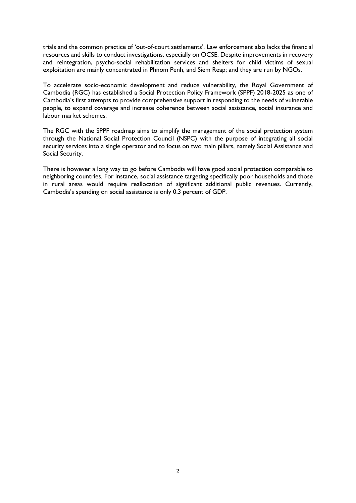trials and the common practice of 'out-of-court settlements'. Law enforcement also lacks the financial resources and skills to conduct investigations, especially on OCSE. Despite improvements in recovery and reintegration, psycho-social rehabilitation services and shelters for child victims of sexual exploitation are mainly concentrated in Phnom Penh, and Siem Reap; and they are run by NGOs.

To accelerate socio-economic development and reduce vulnerability, the Royal Government of Cambodia (RGC) has established a Social Protection Policy Framework (SPPF) 2018-2025 as one of Cambodia's first attempts to provide comprehensive support in responding to the needs of vulnerable people, to expand coverage and increase coherence between social assistance, social insurance and labour market schemes.

The RGC with the SPPF roadmap aims to simplify the management of the social protection system through the National Social Protection Council (NSPC) with the purpose of integrating all social security services into a single operator and to focus on two main pillars, namely Social Assistance and Social Security.

There is however a long way to go before Cambodia will have good social protection comparable to neighboring countries. For instance, social assistance targeting specifically poor households and those in rural areas would require reallocation of significant additional public revenues. Currently, Cambodia's spending on social assistance is only 0.3 percent of GDP.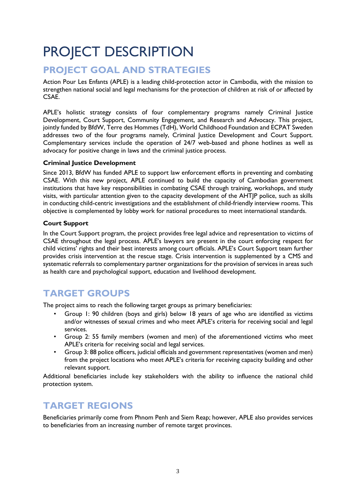# <span id="page-14-0"></span>PROJECT DESCRIPTION

# **PROJECT GOAL AND STRATEGIES**

Action Pour Les Enfants (APLE) is a leading child-protection actor in Cambodia, with the mission to strengthen national social and legal mechanisms for the protection of children at risk of or affected by CSAE.

APLE's holistic strategy consists of four complementary programs namely Criminal Justice Development, Court Support, Community Engagement, and Research and Advocacy. This project, jointly funded by BfdW, Terre des Hommes (TdH), World Childhood Foundation and ECPAT Sweden addresses two of the four programs namely, Criminal Justice Development and Court Support. Complementary services include the operation of 24/7 web-based and phone hotlines as well as advocacy for positive change in laws and the criminal justice process.

## **Criminal Justice Development**

Since 2013, BfdW has funded APLE to support law enforcement efforts in preventing and combating CSAE. With this new project, APLE continued to build the capacity of Cambodian government institutions that have key responsibilities in combating CSAE through training, workshops, and study visits, with particular attention given to the capacity development of the AHTJP police, such as skills in conducting child-centric investigations and the establishment of child-friendly interview rooms. This objective is complemented by lobby work for national procedures to meet international standards.

## **Court Support**

In the Court Support program, the project provides free legal advice and representation to victims of CSAE throughout the legal process. APLE's lawyers are present in the court enforcing respect for child victims' rights and their best interests among court officials. APLE's Court Support team further provides crisis intervention at the rescue stage. Crisis intervention is supplemented by a CMS and systematic referrals to complementary partner organizations for the provision of services in areas such as health care and psychological support, education and livelihood development.

# **TARGET GROUPS**

The project aims to reach the following target groups as primary beneficiaries:

- Group 1: 90 children (boys and girls) below 18 years of age who are identified as victims and/or witnesses of sexual crimes and who meet APLE's criteria for receiving social and legal services.
- Group 2: 55 family members (women and men) of the aforementioned victims who meet APLE's criteria for receiving social and legal services.
- Group 3: 88 police officers, judicial officials and government representatives (women and men) from the project locations who meet APLE's criteria for receiving capacity building and other relevant support.

Additional beneficiaries include key stakeholders with the ability to influence the national child protection system.

# **TARGET REGIONS**

Beneficiaries primarily come from Phnom Penh and Siem Reap; however, APLE also provides services to beneficiaries from an increasing number of remote target provinces.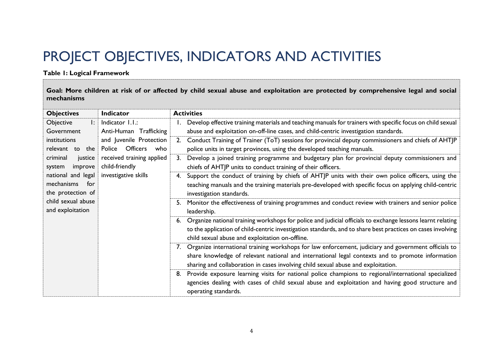# PROJECT OBJECTIVES, INDICATORS AND ACTIVITIES

## **Table 1: Logical Framework**

**Goal: More children at risk of or affected by child sexual abuse and exploitation are protected by comprehensive legal and social mechanisms**

<span id="page-15-0"></span>

| <b>Objectives</b>                                                                 | <b>Indicator</b>                         | <b>Activities</b>                                                                                                |  |
|-----------------------------------------------------------------------------------|------------------------------------------|------------------------------------------------------------------------------------------------------------------|--|
| Objective                                                                         | $\vert$ : Indicator $\vert$ . $\vert$ .: | 1. Develop effective training materials and teaching manuals for trainers with specific focus on child sexual    |  |
| Government<br>Anti-Human Trafficking                                              |                                          | abuse and exploitation on-off-line cases, and child-centric investigation standards.                             |  |
| institutions                                                                      | and Juvenile Protection                  | Conduct Training of Trainer (ToT) sessions for provincial deputy commissioners and chiefs of AHTJP<br>2.         |  |
| relevant to the                                                                   | Police Officers<br>who                   | police units in target provinces, using the developed teaching manuals.                                          |  |
| criminal<br>justice                                                               | received training applied                | Develop a joined training programme and budgetary plan for provincial deputy commissioners and<br>3.             |  |
| child-friendly<br>improve<br>system<br>national and legal<br>investigative skills |                                          | chiefs of AHTJP units to conduct training of their officers.                                                     |  |
|                                                                                   |                                          | Support the conduct of training by chiefs of AHTJP units with their own police officers, using the<br>4.         |  |
| mechanisms<br>for                                                                 |                                          | teaching manuals and the training materials pre-developed with specific focus on applying child-centric          |  |
| the protection of<br>child sexual abuse                                           |                                          | investigation standards.                                                                                         |  |
|                                                                                   |                                          | Monitor the effectiveness of training programmes and conduct review with trainers and senior police<br>5.        |  |
| and exploitation                                                                  |                                          | leadership.                                                                                                      |  |
|                                                                                   |                                          | Organize national training workshops for police and judicial officials to exchange lessons learnt relating<br>6. |  |
|                                                                                   |                                          | to the application of child-centric investigation standards, and to share best practices on cases involving      |  |
|                                                                                   |                                          | child sexual abuse and exploitation on-offline.                                                                  |  |
|                                                                                   |                                          | 7. Organize international training workshops for law enforcement, judiciary and government officials to          |  |
|                                                                                   |                                          | share knowledge of relevant national and international legal contexts and to promote information                 |  |
|                                                                                   |                                          | sharing and collaboration in cases involving child sexual abuse and exploitation.                                |  |
|                                                                                   |                                          | Provide exposure learning visits for national police champions to regional/international specialized<br>8.       |  |
|                                                                                   |                                          | agencies dealing with cases of child sexual abuse and exploitation and having good structure and                 |  |
|                                                                                   |                                          | operating standards.                                                                                             |  |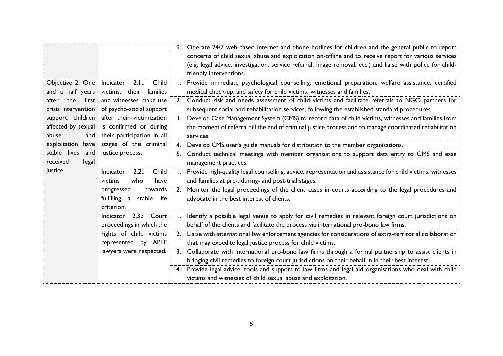|                                                              |                                                                                   |                | 9. Operate 24/7 web-based Internet and phone hotlines for children and the general public to report<br>concerns of child sexual abuse and exploitation on-offline and to receive report for various services<br>(e.g. legal advice, investigation, service referral, image removal, etc.) and liaise with police for child-<br>friendly interventions. |
|--------------------------------------------------------------|-----------------------------------------------------------------------------------|----------------|--------------------------------------------------------------------------------------------------------------------------------------------------------------------------------------------------------------------------------------------------------------------------------------------------------------------------------------------------------|
| Objective 2: One<br>and a half years                         | 2.1::<br>Child<br>Indicator<br>victims, their families                            | $\mathsf{I}$ . | Provide immediate psychological counselling, emotional preparation, welfare assistance, certified<br>medical check-up, and safety for child victims, witnesses and families.                                                                                                                                                                           |
| the<br>after<br>first<br>crisis intervention                 | and witnesses make use<br>of psycho-social support                                | 2.             | Conduct risk and needs assessment of child victims and facilitate referrals to NGO partners for<br>subsequent social and rehabilitation services, following the established standard procedures.                                                                                                                                                       |
| support, children<br>affected by sexual<br>abuse<br>and      | after their victimization<br>is confirmed or during<br>their participation in all | 3.             | Develop Case Management System (CMS) to record data of child victims, witnesses and families from<br>the moment of referral till the end of criminal justice process and to manage coordinated rehabilitation<br>services.                                                                                                                             |
| exploitation have                                            | stages of the criminal                                                            | 4.             | Develop CMS user's guide manuals for distribution to the member organisations.                                                                                                                                                                                                                                                                         |
| stable lives<br>and<br>justice process.<br>received<br>legal |                                                                                   | 5.             | Conduct technical meetings with member organisations to support data entry to CMS and ease<br>management practices.                                                                                                                                                                                                                                    |
| justice.                                                     | Child<br>Indicator<br>2.2::<br>who<br>have<br>victims                             |                | Provide high-quality legal counselling, advice, representation and assistance for child victims, witnesses<br>and families at pre-, during- and post-trial stages.                                                                                                                                                                                     |
|                                                              | progressed<br>towards<br>fulfilling<br>a stable life<br>criterion.                |                | 2. Monitor the legal proceedings of the client cases in courts according to the legal procedures and<br>advocate in the best interest of clients.                                                                                                                                                                                                      |
|                                                              | 2.3.: Court<br>Indicator<br>proceedings in which the                              | $\mathbf{I}$ . | Identify a possible legal venue to apply for civil remedies in relevant foreign court jurisdictions on<br>behalf of the clients and facilitate the process via international pro-bono law firms.                                                                                                                                                       |
|                                                              | rights of child victims<br>represented by APLE                                    | 2.             | Liaise with international law enforcement agencies for considerations of extra-territorial collaboration<br>that may expedite legal justice process for child victims.                                                                                                                                                                                 |
|                                                              | lawyers were respected.                                                           | 3.             | Collaborate with international pro-bono law firms through a formal partnership to assist clients in<br>bringing civil remedies to foreign court jurisdictions on their behalf in in their best interest.                                                                                                                                               |
|                                                              |                                                                                   | 4.             | Provide legal advice, tools and support to law firms and legal aid organisations who deal with child<br>victims and witnesses of child sexual abuse and exploitation.                                                                                                                                                                                  |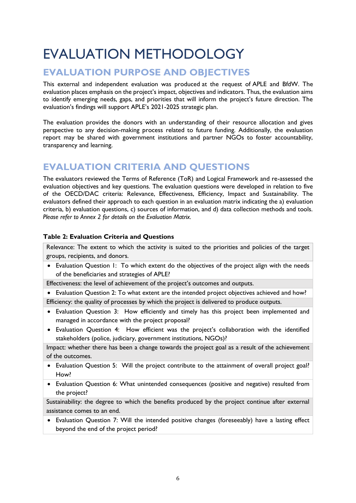# <span id="page-17-0"></span>EVALUATION METHODOLOGY

# <span id="page-17-1"></span>**EVALUATION PURPOSE AND OBJECTIVES**

This external and independent evaluation was produced at the request of APLE and BfdW. The evaluation places emphasis on the project's impact, objectives and indicators. Thus, the evaluation aims to identify emerging needs, gaps, and priorities that will inform the project's future direction. The evaluation's findings will support APLE's 2021-2025 strategic plan.

The evaluation provides the donors with an understanding of their resource allocation and gives perspective to any decision-making process related to future funding. Additionally, the evaluation report may be shared with government institutions and partner NGOs to foster accountability, transparency and learning.

# <span id="page-17-2"></span>**EVALUATION CRITERIA AND QUESTIONS**

The evaluators reviewed the Terms of Reference (ToR) and Logical Framework and re-assessed the evaluation objectives and key questions. The evaluation questions were developed in relation to five of the OECD/DAC criteria: Relevance, Effectiveness, Efficiency, Impact and Sustainability. The evaluators defined their approach to each question in an evaluation matrix indicating the a) evaluation criteria, b) evaluation questions, c) sources of information, and d) data collection methods and tools. *Please refer to Annex 2 for details on the Evaluation Matrix.*

## **Table 2: Evaluation Criteria and Questions**

Relevance: The extent to which the activity is suited to the priorities and policies of the target groups, recipients, and donors.

• Evaluation Question 1: To which extent do the objectives of the project align with the needs of the beneficiaries and strategies of APLE?

Effectiveness: the level of achievement of the project's outcomes and outputs.

• Evaluation Question 2: To what extent are the intended project objectives achieved and how? Efficiency: the quality of processes by which the project is delivered to produce outputs.

- Evaluation Question 3: How efficiently and timely has this project been implemented and managed in accordance with the project proposal?
- Evaluation Question 4: How efficient was the project's collaboration with the identified stakeholders (police, judiciary, government institutions, NGOs)?

Impact: whether there has been a change towards the project goal as a result of the achievement of the outcomes.

- Evaluation Question 5: Will the project contribute to the attainment of overall project goal? How?
- Evaluation Question 6: What unintended consequences (positive and negative) resulted from the project?

Sustainability: the degree to which the benefits produced by the project continue after external assistance comes to an end.

• Evaluation Question 7: Will the intended positive changes (foreseeably) have a lasting effect beyond the end of the project period?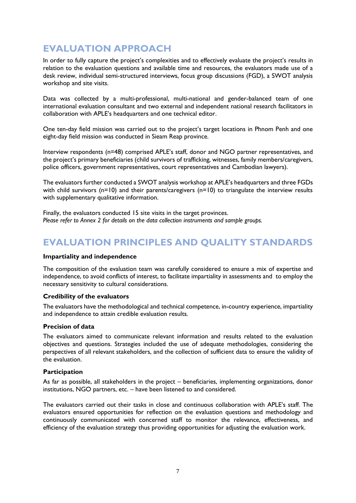# <span id="page-18-0"></span>**EVALUATION APPROACH**

In order to fully capture the project's complexities and to effectively evaluate the project's results in relation to the evaluation questions and available time and resources, the evaluators made use of a desk review, individual semi-structured interviews, focus group discussions (FGD), a SWOT analysis workshop and site visits.

Data was collected by a multi-professional, multi-national and gender-balanced team of one international evaluation consultant and two external and independent national research facilitators in collaboration with APLE's headquarters and one technical editor.

One ten-day field mission was carried out to the project's target locations in Phnom Penh and one eight-day field mission was conducted in Sieam Reap province.

Interview respondents (n=48) comprised APLE's staff, donor and NGO partner representatives, and the project's primary beneficiaries (child survivors of trafficking, witnesses, family members/caregivers, police officers, government representatives, court representatives and Cambodian lawyers).

The evaluators further conducted a SWOT analysis workshop at APLE's headquarters and three FGDs with child survivors (n=10) and their parents/caregivers (n=10) to triangulate the interview results with supplementary qualitative information.

Finally, the evaluators conducted 15 site visits in the target provinces. *Please refer to Annex 2 for details on the data collection instruments and sample groups.*

# <span id="page-18-1"></span>**EVALUATION PRINCIPLES AND QUALITY STANDARDS**

### **Impartiality and independence**

The composition of the evaluation team was carefully considered to ensure a mix of expertise and independence, to avoid conflicts of interest, to facilitate impartiality in assessments and to employ the necessary sensitivity to cultural considerations.

### **Credibility of the evaluators**

The evaluators have the methodological and technical competence, in-country experience, impartiality and independence to attain credible evaluation results.

## **Precision of data**

The evaluators aimed to communicate relevant information and results related to the evaluation objectives and questions. Strategies included the use of adequate methodologies, considering the perspectives of all relevant stakeholders, and the collection of sufficient data to ensure the validity of the evaluation.

### **Participation**

As far as possible, all stakeholders in the project – beneficiaries, implementing organizations, donor institutions, NGO partners, etc. – have been listened to and considered.

The evaluators carried out their tasks in close and continuous collaboration with APLE's staff. The evaluators ensured opportunities for reflection on the evaluation questions and methodology and continuously communicated with concerned staff to monitor the relevance, effectiveness, and efficiency of the evaluation strategy thus providing opportunities for adjusting the evaluation work.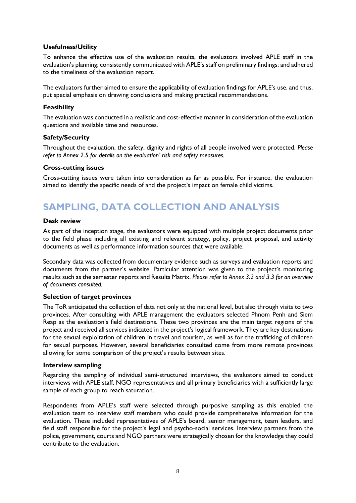## **Usefulness/Utility**

To enhance the effective use of the evaluation results, the evaluators involved APLE staff in the evaluation's planning; consistently communicated with APLE's staff on preliminary findings; and adhered to the timeliness of the evaluation report.

The evaluators further aimed to ensure the applicability of evaluation findings for APLE's use, and thus, put special emphasis on drawing conclusions and making practical recommendations.

### **Feasibility**

The evaluation was conducted in a realistic and cost-effective manner in consideration of the evaluation questions and available time and resources.

## **Safety/Security**

Throughout the evaluation, the safety, dignity and rights of all people involved were protected. *Please refer to Annex 2.5 for details on the evaluation' risk and safety measures.*

### **Cross-cutting issues**

Cross-cutting issues were taken into consideration as far as possible. For instance, the evaluation aimed to identify the specific needs of and the project's impact on female child victims.

# <span id="page-19-0"></span>**SAMPLING, DATA COLLECTION AND ANALYSIS**

## **Desk review**

As part of the inception stage, the evaluators were equipped with multiple project documents prior to the field phase including all existing and relevant strategy, policy, project proposal, and activity documents as well as performance information sources that were available.

Secondary data was collected from documentary evidence such as surveys and evaluation reports and documents from the partner's website. Particular attention was given to the project's monitoring results such as the semester reports and Results Matrix. *Please refer to Annex 3.2 and 3.3 for an overview of documents consulted.*

### **Selection of target provinces**

The ToR anticipated the collection of data not only at the national level, but also through visits to two provinces. After consulting with APLE management the evaluators selected Phnom Penh and Siem Reap as the evaluation's field destinations. These two provinces are the main target regions of the project and received all services indicated in the project's logical framework. They are key destinations for the sexual exploitation of children in travel and tourism, as well as for the trafficking of children for sexual purposes. However, several beneficiaries consulted come from more remote provinces allowing for some comparison of the project's results between sites.

### **Interview sampling**

Regarding the sampling of individual semi-structured interviews, the evaluators aimed to conduct interviews with APLE staff, NGO representatives and all primary beneficiaries with a sufficiently large sample of each group to reach saturation.

Respondents from APLE's staff were selected through purposive sampling as this enabled the evaluation team to interview staff members who could provide comprehensive information for the evaluation. These included representatives of APLE's board, senior management, team leaders, and field staff responsible for the project's legal and psycho-social services. Interview partners from the police, government, courts and NGO partners were strategically chosen for the knowledge they could contribute to the evaluation.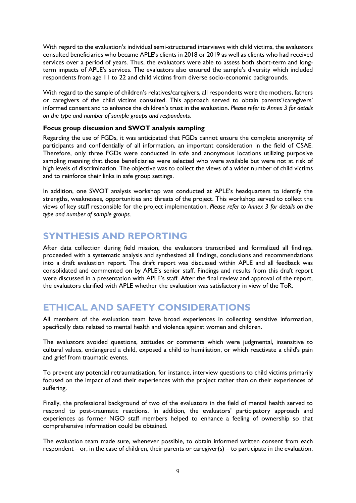With regard to the evaluation's individual semi-structured interviews with child victims, the evaluators consulted beneficiaries who became APLE's clients in 2018 or 2019 as well as clients who had received services over a period of years. Thus, the evaluators were able to assess both short-term and longterm impacts of APLE's services. The evaluators also ensured the sample's diversity which included respondents from age 11 to 22 and child victims from diverse socio-economic backgrounds.

With regard to the sample of children's relatives/caregivers, all respondents were the mothers, fathers or caregivers of the child victims consulted. This approach served to obtain parents'/caregivers' informed consent and to enhance the children's trust in the evaluation. *Please refer to Annex 3 for details on the type and number of sample groups and respondents*.

## **Focus group discussion and SWOT analysis sampling**

Regarding the use of FGDs, it was anticipated that FGDs cannot ensure the complete anonymity of participants and confidentially of all information, an important consideration in the field of CSAE. Therefore, only three FGDs were conducted in safe and anonymous locations utilizing purposive sampling meaning that those beneficiaries were selected who were available but were not at risk of high levels of discrimination. The objective was to collect the views of a wider number of child victims and to reinforce their links in safe group settings.

In addition, one SWOT analysis workshop was conducted at APLE's headquarters to identify the strengths, weaknesses, opportunities and threats of the project. This workshop served to collect the views of key staff responsible for the project implementation. *Please refer to Annex 3 for details on the type and number of sample groups.*

## <span id="page-20-0"></span>**SYNTHESIS AND REPORTING**

After data collection during field mission, the evaluators transcribed and formalized all findings, proceeded with a systematic analysis and synthesized all findings, conclusions and recommendations into a draft evaluation report. The draft report was discussed within APLE and all feedback was consolidated and commented on by APLE's senior staff. Findings and results from this draft report were discussed in a presentation with APLE's staff. After the final review and approval of the report, the evaluators clarified with APLE whether the evaluation was satisfactory in view of the ToR.

# <span id="page-20-1"></span>**ETHICAL AND SAFETY CONSIDERATIONS**

All members of the evaluation team have broad experiences in collecting sensitive information, specifically data related to mental health and violence against women and children.

The evaluators avoided questions, attitudes or comments which were judgmental, insensitive to cultural values, endangered a child, exposed a child to humiliation, or which reactivate a child's pain and grief from traumatic events.

To prevent any potential retraumatisation, for instance, interview questions to child victims primarily focused on the impact of and their experiences with the project rather than on their experiences of suffering.

Finally, the professional background of two of the evaluators in the field of mental health served to respond to post-traumatic reactions. In addition, the evaluators' participatory approach and experiences as former NGO staff members helped to enhance a feeling of ownership so that comprehensive information could be obtained.

The evaluation team made sure, whenever possible, to obtain informed written consent from each respondent – or, in the case of children, their parents or caregiver(s) – to participate in the evaluation.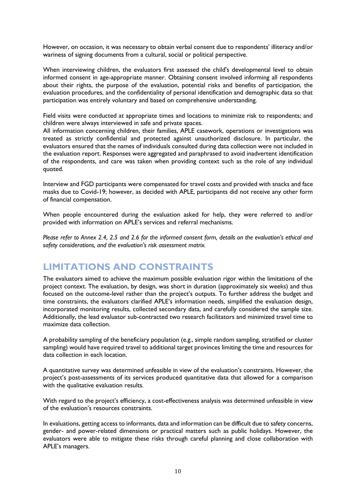However, on occasion, it was necessary to obtain verbal consent due to respondents' illiteracy and/or wariness of signing documents from a cultural, social or political perspective.

When interviewing children, the evaluators first assessed the child's developmental level to obtain informed consent in age-appropriate manner. Obtaining consent involved informing all respondents about their rights, the purpose of the evaluation, potential risks and benefits of participation, the evaluation procedures, and the confidentiality of personal identification and demographic data so that participation was entirely voluntary and based on comprehensive understanding.

Field visits were conducted at appropriate times and locations to minimize risk to respondents; and children were always interviewed in safe and private spaces.

All information concerning children, their families, APLE casework, operations or investigations was treated as strictly confidential and protected against unauthorized disclosure. In particular, the evaluators ensured that the names of individuals consulted during data collection were not included in the evaluation report. Responses were aggregated and paraphrased to avoid inadvertent identification of the respondents, and care was taken when providing context such as the role of any individual quoted.

Interview and FGD participants were compensated for travel costs and provided with snacks and face masks due to Covid-19; however, as decided with APLE, participants did not receive any other form of financial compensation.

When people encountered during the evaluation asked for help, they were referred to and/or provided with information on APLE's services and referral mechanisms.

*Please refer to Annex 2.4, 2.5 and 2.6 for the informed consent form, details on the evaluation's ethical and safety considerations, and the evaluation's risk assessment matrix.*

## <span id="page-21-0"></span>**LIMITATIONS AND CONSTRAINTS**

The evaluators aimed to achieve the maximum possible evaluation rigor within the limitations of the project context. The evaluation, by design, was short in duration (approximately six weeks) and thus focused on the outcome-level rather than the project's outputs. To further address the budget and time constraints, the evaluators clarified APLE's information needs, simplified the evaluation design, incorporated monitoring results, collected secondary data, and carefully considered the sample size. Additionally, the lead evaluator sub-contracted two research facilitators and minimized travel time to maximize data collection.

A probability sampling of the beneficiary population (e.g., simple random sampling, stratified or cluster sampling) would have required travel to additional target provinces limiting the time and resources for data collection in each location.

A quantitative survey was determined unfeasible in view of the evaluation's constraints. However, the project's post-assessments of its services produced quantitative data that allowed for a comparison with the qualitative evaluation results.

With regard to the project's efficiency, a cost-effectiveness analysis was determined unfeasible in view of the evaluation's resources constraints.

In evaluations, getting access to informants, data and information can be difficult due to safety concerns, gender- and power-related dimensions or practical matters such as public holidays. However, the evaluators were able to mitigate these risks through careful planning and close collaboration with APLE's managers.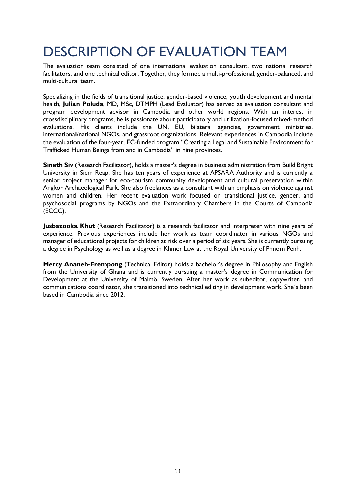# <span id="page-22-0"></span>DESCRIPTION OF EVALUATION TEAM

The evaluation team consisted of one international evaluation consultant, two national research facilitators, and one technical editor. Together, they formed a multi-professional, gender-balanced, and multi-cultural team.

Specializing in the fields of transitional justice, gender-based violence, youth development and mental health, **Julian Poluda**, MD, MSc, DTMPH (Lead Evaluator) has served as evaluation consultant and program development advisor in Cambodia and other world regions. With an interest in crossdisciplinary programs, he is passionate about participatory and utilization-focused mixed-method evaluations. His clients include the UN, EU, bilateral agencies, government ministries, international/national NGOs, and grassroot organizations. Relevant experiences in Cambodia include the evaluation of the four-year, EC-funded program "Creating a Legal and Sustainable Environment for Trafficked Human Beings from and in Cambodia" in nine provinces.

**Sineth Siv** (Research Facilitator), holds a master's degree in business administration from Build Bright University in Siem Reap. She has ten years of experience at APSARA Authority and is currently a senior project manager for eco-tourism community development and cultural preservation within Angkor Archaeological Park. She also freelances as a consultant with an emphasis on violence against women and children. Her recent evaluation work focused on transitional justice, gender, and psychosocial programs by NGOs and the Extraordinary Chambers in the Courts of Cambodia (ECCC).

**Jusbazooka Khut** (Research Facilitator) is a research facilitator and interpreter with nine years of experience. Previous experiences include her work as team coordinator in various NGOs and manager of educational projects for children at risk over a period of six years. She is currently pursuing a degree in Psychology as well as a degree in Khmer Law at the Royal University of Phnom Penh.

**Mercy Ananeh-Frempong** (Technical Editor) holds a bachelor's degree in Philosophy and English from the University of Ghana and is currently pursuing a master's degree in Communication for Development at the University of Malmö, Sweden. After her work as subeditor, copywriter, and communications coordinator, she transitioned into technical editing in development work. She´s been based in Cambodia since 2012.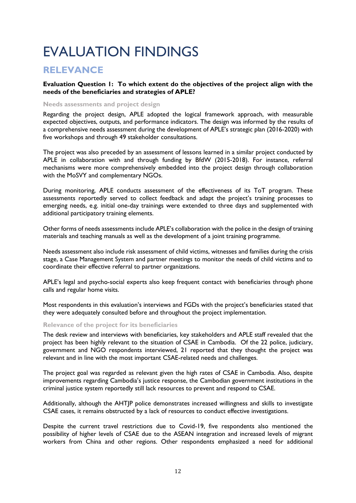# <span id="page-23-0"></span>EVALUATION FINDINGS

## <span id="page-23-1"></span>**RELEVANCE**

**Evaluation Question 1: To which extent do the objectives of the project align with the needs of the beneficiaries and strategies of APLE?**

### **Needs assessments and project design**

Regarding the project design, APLE adopted the logical framework approach, with measurable expected objectives, outputs, and performance indicators. The design was informed by the results of a comprehensive needs assessment during the development of APLE's strategic plan (2016-2020) with five workshops and through 49 stakeholder consultations.

The project was also preceded by an assessment of lessons learned in a similar project conducted by APLE in collaboration with and through funding by BfdW (2015-2018). For instance, referral mechanisms were more comprehensively embedded into the project design through collaboration with the MoSVY and complementary NGOs.

During monitoring, APLE conducts assessment of the effectiveness of its ToT program. These assessments reportedly served to collect feedback and adapt the project's training processes to emerging needs, e.g. initial one-day trainings were extended to three days and supplemented with additional participatory training elements.

Other forms of needs assessments include APLE's collaboration with the police in the design of training materials and teaching manuals as well as the development of a joint training programme.

Needs assessment also include risk assessment of child victims, witnesses and families during the crisis stage, a Case Management System and partner meetings to monitor the needs of child victims and to coordinate their effective referral to partner organizations.

APLE's legal and psycho-social experts also keep frequent contact with beneficiaries through phone calls and regular home visits.

Most respondents in this evaluation's interviews and FGDs with the project's beneficiaries stated that they were adequately consulted before and throughout the project implementation.

### **Relevance of the project for its beneficiaries**

The desk review and interviews with beneficiaries, key stakeholders and APLE staff revealed that the project has been highly relevant to the situation of CSAE in Cambodia. Of the 22 police, judiciary, government and NGO respondents interviewed, 21 reported that they thought the project was relevant and in line with the most important CSAE-related needs and challenges.

The project goal was regarded as relevant given the high rates of CSAE in Cambodia. Also, despite improvements regarding Cambodia's justice response, the Cambodian government institutions in the criminal justice system reportedly still lack resources to prevent and respond to CSAE.

Additionally, although the AHTJP police demonstrates increased willingness and skills to investigate CSAE cases, it remains obstructed by a lack of resources to conduct effective investigations.

Despite the current travel restrictions due to Covid-19, five respondents also mentioned the possibility of higher levels of CSAE due to the ASEAN integration and increased levels of migrant workers from China and other regions. Other respondents emphasized a need for additional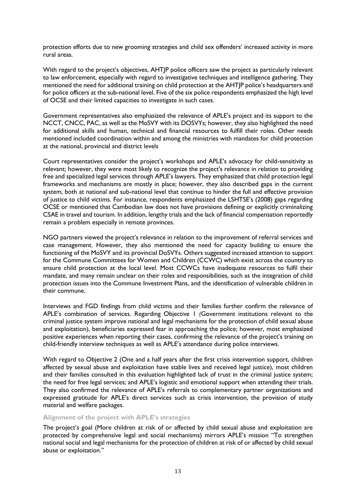protection efforts due to new grooming strategies and child sex offenders' increased activity in more rural areas.

With regard to the project's objectives, AHTJP police officers saw the project as particularly relevant to law enforcement, especially with regard to investigative techniques and intelligence gathering. They mentioned the need for additional training on child protection at the AHTJP police's headquarters and for police officers at the sub-national level. Five of the six police respondents emphasized the high level of OCSE and their limited capacities to investigate in such cases.

Government representatives also emphasized the relevance of APLE's project and its support to the NCCT, CNCC, PAC, as well as the MoSVY with its DOSVYs; however, they also highlighted the need for additional skills and human, technical and financial resources to fulfill their roles. Other needs mentioned included coordination within and among the ministries with mandates for child protection at the national, provincial and district levels

Court representatives consider the project's workshops and APLE's advocacy for child-sensitivity as relevant; however, they were most likely to recognize the project's relevance in relation to providing free and specialized legal services through APLE's lawyers. They emphasized that child protection legal frameworks and mechanisms are mostly in place; however, they also described gaps in the current system, both at national and sub-national level that continue to hinder the full and effective provision of justice to child victims. For instance, respondents emphasized the LSHTSE's (2008) gaps regarding OCSE or mentioned that Cambodian law does not have provisions defining or explicitly criminalizing CSAE in travel and tourism. In addition, lengthy trials and the lack of financial compensation reportedly remain a problem especially in remote provinces.

NGO partners viewed the project's relevance in relation to the improvement of referral services and case management. However, they also mentioned the need for capacity building to ensure the functioning of the MoSVY and its provincial DoSVYs. Others suggested increased attention to support for the Commune Committees for Women and Children (CCWC) which exist across the country to ensure child protection at the local level. Most CCWCs have inadequate resources to fulfil their mandate, and many remain unclear on their roles and responsibilities, such as the integration of child protection issues into the Commune Investment Plans, and the identification of vulnerable children in their commune.

Interviews and FGD findings from child victims and their families further confirm the relevance of APLE's combination of services. Regarding Objective 1 *(*Government institutions relevant to the criminal justice system improve national and legal mechanisms for the protection of child sexual abuse and exploitation), beneficiaries expressed fear in approaching the police; however, most emphasized positive experiences when reporting their cases, confirming the relevance of the project's training on child-friendly interview techniques as well as APLE's attendance during police interviews.

With regard to Objective 2 (One and a half years after the first crisis intervention support, children affected by sexual abuse and exploitation have stable lives and received legal justice), most children and their families consulted in this evaluation highlighted lack of trust in the criminal justice system; the need for free legal services; and APLE's logistic and emotional support when attending their trials. They also confirmed the relevance of APLE's referrals to complementary partner organizations and expressed gratitude for APLE's direct services such as crisis intervention, the provision of study material and welfare packages.

## **Alignment of the project with APLE's strategies**

The project's goal (More children at risk of or affected by child sexual abuse and exploitation are protected by comprehensive legal and social mechanisms) mirrors APLE's mission "To strengthen national social and legal mechanisms for the protection of children at risk of or affected by child sexual abuse or exploitation."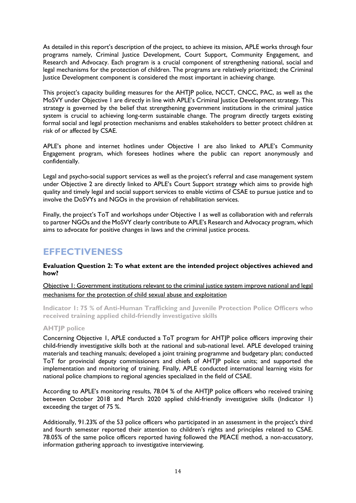As detailed in this report's description of the project, to achieve its mission, APLE works through four programs namely, Criminal Justice Development, Court Support, Community Engagement, and Research and Advocacy. Each program is a crucial component of strengthening national, social and legal mechanisms for the protection of children. The programs are relatively prioritized; the Criminal Justice Development component is considered the most important in achieving change.

This project's capacity building measures for the AHTJP police, NCCT, CNCC, PAC, as well as the MoSVY under Objective 1 are directly in line with APLE's Criminal Justice Development strategy. This strategy is governed by the belief that strengthening government institutions in the criminal justice system is crucial to achieving long-term sustainable change. The program directly targets existing formal social and legal protection mechanisms and enables stakeholders to better protect children at risk of or affected by CSAE.

APLE's phone and internet hotlines under Objective 1 are also linked to APLE's Community Engagement program, which foresees hotlines where the public can report anonymously and confidentially.

Legal and psycho-social support services as well as the project's referral and case management system under Objective 2 are directly linked to APLE's Court Support strategy which aims to provide high quality and timely legal and social support services to enable victims of CSAE to pursue justice and to involve the DoSVYs and NGOs in the provision of rehabilitation services.

Finally, the project's ToT and workshops under Objective 1 as well as collaboration with and referrals to partner NGOs and the MoSVY clearly contribute to APLE's Research and Advocacy program, which aims to advocate for positive changes in laws and the criminal justice process.

## <span id="page-25-0"></span>**EFFECTIVENESS**

**Evaluation Question 2: To what extent are the intended project objectives achieved and how?**

Objective 1: Government institutions relevant to the criminal justice system improve national and legal mechanisms for the protection of child sexual abuse and exploitation

**Indicator 1: 75 % of Anti-Human Trafficking and Juvenile Protection Police Officers who received training applied child-friendly investigative skills**

### **AHTJP police**

Concerning Objective 1, APLE conducted a ToT program for AHTJP police officers improving their child-friendly investigative skills both at the national and sub-national level. APLE developed training materials and teaching manuals; developed a joint training programme and budgetary plan; conducted ToT for provincial deputy commissioners and chiefs of AHTJP police units; and supported the implementation and monitoring of training. Finally, APLE conducted international learning visits for national police champions to regional agencies specialized in the field of CSAE.

According to APLE's monitoring results, 78.04 % of the AHTJP police officers who received training between October 2018 and March 2020 applied child-friendly investigative skills (Indicator 1) exceeding the target of 75 %.

Additionally, 91.23% of the 53 police officers who participated in an assessment in the project's third and fourth semester reported their attention to children's rights and principles related to CSAE. 78.05% of the same police officers reported having followed the PEACE method, a non-accusatory, information gathering approach to investigative interviewing.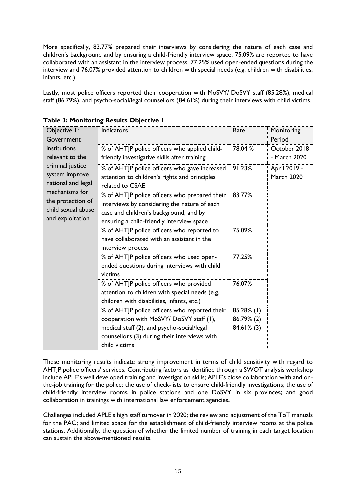More specifically, 83.77% prepared their interviews by considering the nature of each case and children's background and by ensuring a child-friendly interview space. 75.09% are reported to have collaborated with an assistant in the interview process. 77.25% used open-ended questions during the interview and 76.07% provided attention to children with special needs (e.g. children with disabilities, infants, etc.)

Lastly, most police officers reported their cooperation with MoSVY/ DoSVY staff (85.28%), medical staff (86.79%), and psycho-social/legal counsellors (84.61%) during their interviews with child victims.

| Objective I:<br>Government                                                                                                                                                   | Indicators                                                                                                                                                                                              | Rate                                      | Monitoring<br>Period              |
|------------------------------------------------------------------------------------------------------------------------------------------------------------------------------|---------------------------------------------------------------------------------------------------------------------------------------------------------------------------------------------------------|-------------------------------------------|-----------------------------------|
| institutions<br>relevant to the<br>criminal justice<br>system improve<br>national and legal<br>mechanisms for<br>the protection of<br>child sexual abuse<br>and exploitation | % of AHTJP police officers who applied child-<br>friendly investigative skills after training                                                                                                           | 78.04 %                                   | October 2018<br>- March 2020      |
|                                                                                                                                                                              | % of AHTJP police officers who gave increased<br>attention to children's rights and principles<br>related to CSAE                                                                                       | 91.23%                                    | April 2019 -<br><b>March 2020</b> |
|                                                                                                                                                                              | % of AHTJP police officers who prepared their<br>interviews by considering the nature of each<br>case and children's background, and by<br>ensuring a child-friendly interview space                    | 83.77%                                    |                                   |
|                                                                                                                                                                              | % of AHTJP police officers who reported to<br>have collaborated with an assistant in the<br>interview process                                                                                           | 75.09%                                    |                                   |
|                                                                                                                                                                              | % of AHTJP police officers who used open-<br>ended questions during interviews with child<br>victims                                                                                                    | 77.25%                                    |                                   |
|                                                                                                                                                                              | % of AHTJP police officers who provided<br>attention to children with special needs (e.g.<br>children with disabilities, infants, etc.)                                                                 | 76.07%                                    |                                   |
|                                                                                                                                                                              | % of AHTJP police officers who reported their<br>cooperation with MoSVY/DoSVY staff (1),<br>medical staff (2), and psycho-social/legal<br>counsellors (3) during their interviews with<br>child victims | 85.28% (1)<br>86.79% (2)<br>$84.61\%$ (3) |                                   |

**Table 3: Monitoring Results Objective 1**

These monitoring results indicate strong improvement in terms of child sensitivity with regard to AHTJP police officers' services. Contributing factors as identified through a SWOT analysis workshop include APLE's well developed training and investigation skills; APLE's close collaboration with and onthe-job training for the police; the use of check-lists to ensure child-friendly investigations; the use of child-friendly interview rooms in police stations and one DoSVY in six provinces; and good collaboration in trainings with international law enforcement agencies.

Challenges included APLE's high staff turnover in 2020; the review and adjustment of the ToT manuals for the PAC; and limited space for the establishment of child-friendly interview rooms at the police stations. Additionally, the question of whether the limited number of training in each target location can sustain the above-mentioned results.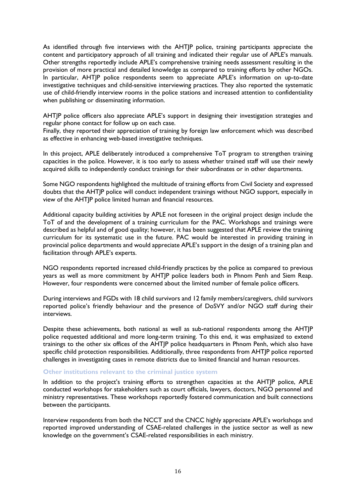As identified through five interviews with the AHTJP police, training participants appreciate the content and participatory approach of all training and indicated their regular use of APLE's manuals. Other strengths reportedly include APLE's comprehensive training needs assessment resulting in the provision of more practical and detailed knowledge as compared to training efforts by other NGOs. In particular, AHTJP police respondents seem to appreciate APLE's information on up-to-date investigative techniques and child-sensitive interviewing practices. They also reported the systematic use of child-friendly interview rooms in the police stations and increased attention to confidentiality when publishing or disseminating information.

AHTJP police officers also appreciate APLE's support in designing their investigation strategies and regular phone contact for follow up on each case.

Finally, they reported their appreciation of training by foreign law enforcement which was described as effective in enhancing web-based investigative techniques.

In this project, APLE deliberately introduced a comprehensive ToT program to strengthen training capacities in the police. However, it is too early to assess whether trained staff will use their newly acquired skills to independently conduct trainings for their subordinates or in other departments.

Some NGO respondents highlighted the multitude of training efforts from Civil Society and expressed doubts that the AHTJP police will conduct independent trainings without NGO support, especially in view of the AHTJP police limited human and financial resources.

Additional capacity building activities by APLE not foreseen in the original project design include the ToT of and the development of a training curriculum for the PAC. Workshops and trainings were described as helpful and of good quality; however, it has been suggested that APLE review the training curriculum for its systematic use in the future. PAC would be interested in providing training in provincial police departments and would appreciate APLE's support in the design of a training plan and facilitation through APLE's experts.

NGO respondents reported increased child-friendly practices by the police as compared to previous years as well as more commitment by AHTJP police leaders both in Phnom Penh and Siem Reap. However, four respondents were concerned about the limited number of female police officers.

During interviews and FGDs with 18 child survivors and 12 family members/caregivers, child survivors reported police's friendly behaviour and the presence of DoSVY and/or NGO staff during their interviews.

Despite these achievements, both national as well as sub-national respondents among the AHTJP police requested additional and more long-term training. To this end, it was emphasized to extend trainings to the other six offices of the AHTJP police headquarters in Phnom Penh, which also have specific child protection responsibilities. Additionally, three respondents from AHTJP police reported challenges in investigating cases in remote districts due to limited financial and human resources.

## **Other institutions relevant to the criminal justice system**

In addition to the project's training efforts to strengthen capacities at the AHTJP police, APLE conducted workshops for stakeholders such as court officials, lawyers, doctors, NGO personnel and ministry representatives. These workshops reportedly fostered communication and built connections between the participants.

Interview respondents from both the NCCT and the CNCC highly appreciate APLE's workshops and reported improved understanding of CSAE-related challenges in the justice sector as well as new knowledge on the government's CSAE-related responsibilities in each ministry.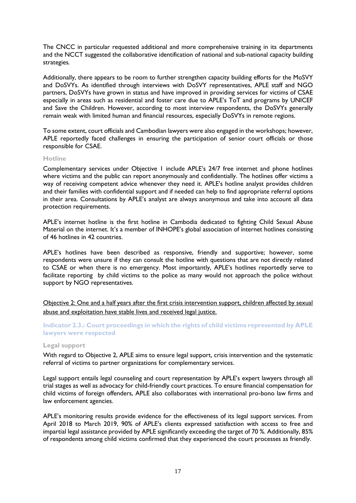The CNCC in particular requested additional and more comprehensive training in its departments and the NCCT suggested the collaborative identification of national and sub-national capacity building strategies.

Additionally, there appears to be room to further strengthen capacity building efforts for the MoSVY and DoSVYs. As identified through interviews with DoSVY representatives, APLE staff and NGO partners, DoSVYs have grown in status and have improved in providing services for victims of CSAE especially in areas such as residential and foster care due to APLE's ToT and programs by UNICEF and Save the Children. However, according to most interview respondents, the DoSVYs generally remain weak with limited human and financial resources, especially DoSVYs in remote regions.

To some extent, court officials and Cambodian lawyers were also engaged in the workshops; however, APLE reportedly faced challenges in ensuring the participation of senior court officials or those responsible for CSAE.

### **Hotline**

Complementary services under Objective 1 include APLE's 24/7 free internet and phone hotlines where victims and the public can report anonymously and confidentially. The hotlines offer victims a way of receiving competent advice whenever they need it. APLE's hotline analyst provides children and their families with confidential support and if needed can help to find appropriate referral options in their area. Consultations by APLE's analyst are always anonymous and take into account all data protection requirements.

APLE's internet hotline is the first hotline in Cambodia dedicated to fighting Child Sexual Abuse Material on the internet. It's a member of INHOPE's global association of internet hotlines consisting of 46 hotlines in 42 countries.

APLE's hotlines have been described as responsive, friendly and supportive; however, some respondents were unsure if they can consult the hotline with questions that are not directly related to CSAE or when there is no emergency. Most importantly, APLE's hotlines reportedly serve to facilitate reporting by child victims to the police as many would not approach the police without support by NGO representatives.

Objective 2: One and a half years after the first crisis intervention support, children affected by sexual abuse and exploitation have stable lives and received legal justice.

**Indicator 2.3.: Court proceedings in which the rights of child victims represented by APLE lawyers were respected**

#### **Legal support**

With regard to Objective 2, APLE aims to ensure legal support, crisis intervention and the systematic referral of victims to partner organizations for complementary services.

Legal support entails legal counseling and court representation by APLE's expert lawyers through all trial stages as well as advocacy for child-friendly court practices. To ensure financial compensation for child victims of foreign offenders, APLE also collaborates with international pro-bono law firms and law enforcement agencies.

APLE's monitoring results provide evidence for the effectiveness of its legal support services. From April 2018 to March 2019, 90% of APLE's clients expressed satisfaction with access to free and impartial legal assistance provided by APLE significantly exceeding the target of 70 %. Additionally, 85% of respondents among child victims confirmed that they experienced the court processes as friendly.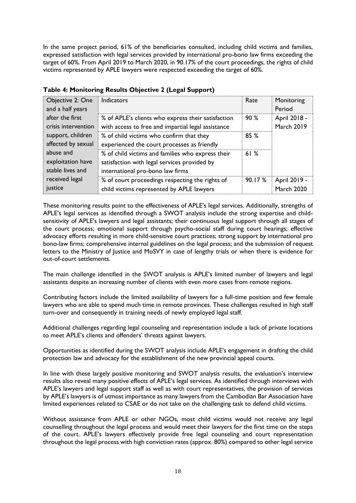In the same project period, 61% of the beneficiaries consulted, including child victims and families, expressed satisfaction with legal services provided by international pro-bono law firms exceeding the target of 60%. From April 2019 to March 2020, in 90.17% of the court proceedings, the rights of child victims represented by APLE lawyers were respected exceeding the target of 60%.

| Objective 2: One<br>and a half years               | <b>Indicators</b>                                                                                                                     | Rate   | Monitoring<br>Period              |
|----------------------------------------------------|---------------------------------------------------------------------------------------------------------------------------------------|--------|-----------------------------------|
| after the first<br>crisis intervention             | % of APLE's clients who express their satisfaction<br>with access to free and impartial legal assistance                              | 90%    | April 2018 -<br><b>March 2019</b> |
| support, children<br>affected by sexual            | % of child victims who confirm that they<br>experienced the court processes as friendly                                               | 85%    |                                   |
| abuse and<br>exploitation have<br>stable lives and | % of child victims and families who express their<br>satisfaction with legal services provided by<br>international pro-bono law firms | 61%    |                                   |
| received legal<br>justice                          | % of court proceedings respecting the rights of<br>child victims represented by APLE lawyers                                          | 90.17% | April 2019 -<br><b>March 2020</b> |

## **Table 4: Monitoring Results Objective 2 (Legal Support)**

These monitoring results point to the effectiveness of APLE's legal services. Additionally, strengths of APLE's legal services as identified through a SWOT analysis include the strong expertise and childsensitivity of APLE's lawyers and legal assistants; their continuous legal support through all stages of the court process; emotional support through psycho-social staff during court hearings; effective advocacy efforts resulting in more child-sensitive court practices; strong support by international pro bono-law firms; comprehensive internal guidelines on the legal process; and the submission of request letters to the Ministry of Justice and MoSVY in case of lengthy trials or when there is evidence for out-of-court settlements.

The main challenge identified in the SWOT analysis is APLE's limited number of lawyers and legal assistants despite an increasing number of clients with even more cases from remote regions.

Contributing factors include the limited availability of lawyers for a full-time position and few female lawyers who are able to spend much time in remote provinces. These challenges resulted in high staff turn-over and consequently in training needs of newly employed legal staff.

Additional challenges regarding legal counseling and representation include a lack of private locations to meet APLE's clients and offenders' threats against lawyers.

Opportunities as identified during the SWOT analysis include APLE's engagement in drafting the child protection law and advocacy for the establishment of the new provincial appeal courts.

In line with these largely positive monitoring and SWOT analysis results, the evaluation's interview results also reveal many positive effects of APLE's legal services. As identified through interviews with APLE's lawyers and legal support staff as well as with court representatives, the provision of services by APLE's lawyers is of utmost importance as many lawyers from the Cambodian Bar Association have limited experiences related to CSAE or do not take on the challenging task to defend child victims.

Without assistance from APLE or other NGOs, most child victims would not receive any legal counselling throughout the legal process and would meet their lawyers for the first time on the steps of the court. APLE's lawyers effectively provide free legal counseling and court representation throughout the legal process with high conviction rates (approx. 80%) compared to other legal service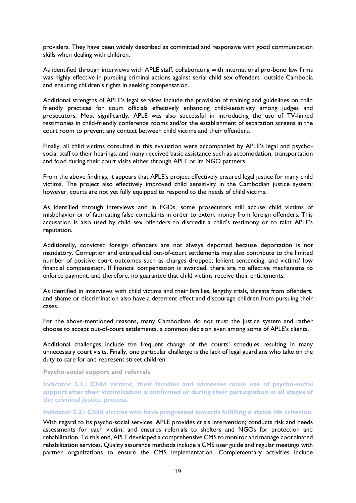providers. They have been widely described as committed and responsive with good communication skills when dealing with children.

As identified through interviews with APLE staff, collaborating with international pro-bono law firms was highly effective in pursuing criminal actions against serial child sex offenders outside Cambodia and ensuring children's rights in seeking compensation.

Additional strengths of APLE's legal services include the provision of training and guidelines on child friendly practices for court officials effectively enhancing child-sensitivity among judges and prosecutors. Most significantly, APLE was also successful in introducing the use of TV-linked testimonies in child-friendly conference rooms and/or the establishment of separation screens in the court room to prevent any contact between child victims and their offenders.

Finally, all child victims consulted in this evaluation were accompanied by APLE's legal and psychosocial staff to their hearings, and many received basic assistance such as accomodation, transportation and food during their court visits either through APLE or its NGO partners.

From the above findings, it appears that APLE's project effectively ensured legal justice for many child victims. The project also effectively improved child sensitivity in the Cambodian justice system; however, courts are not yet fully equipped to respond to the needs of child victims.

As identified through interviews and in FGDs, some prosecutors still accuse child victims of misbehavior or of fabricating false complaints in order to extort money from foreign offenders. This accusation is also used by child sex offenders to discredit a child's testimony or to taint APLE's reputation.

Additionally, convicted foreign offenders are not always deported because deportation is not mandatory. Corruption and extrajudicial out-of-court settlements may also contribute to the limited number of positive court outcomes such as charges dropped, lenient sentencing, and victims' low financial compensation. If financial compensation is awarded, there are no effective mechanisms to enforce payment, and therefore, no guarantee that child victims receive their entitlements.

As identified in interviews with child victims and their families, lengthy trials, threats from offenders, and shame or discrimination also have a deterrent effect and discourage children from pursuing their cases.

For the above-mentioned reasons, many Cambodians do not trust the justice system and rather choose to accept out-of-court settlements, a common decision even among some of APLE's clients.

Additional challenges include the frequent change of the courts' schedules resulting in many unnecessary court visits. Finally, one particular challenge is the lack of legal guardians who take on the duty to care for and represent street children.

**Psycho-social support and referrals**

**Indicator 2.1.: Child victims, their families and witnesses make use of psycho-social support after their victimization is confirmed or during their participation in all stages of the criminal justice process.**

## **Indicator 2.2.: Child victims who have progressed towards fulfilling a stable life criterion.**

With regard to its psycho-social services, APLE provides crisis intervention; conducts risk and needs assessments for each victim; and ensures referrals to shelters and NGOs for protection and rehabilitation. To this end, APLE developed a comprehensive CMS to monitor and manage coordinated rehabilitation services. Quality assurance methods include a CMS user guide and regular meetings with partner organizations to ensure the CMS implementation. Complementary activities include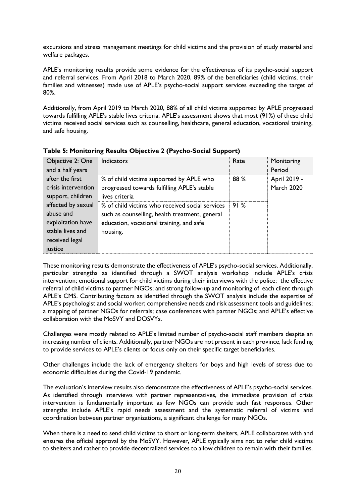excursions and stress management meetings for child victims and the provision of study material and welfare packages.

APLE's monitoring results provide some evidence for the effectiveness of its psycho-social support and referral services. From April 2018 to March 2020, 89% of the beneficiaries (child victims, their families and witnesses) made use of APLE's psycho-social support services exceeding the target of 80%.

Additionally, from April 2019 to March 2020, 88% of all child victims supported by APLE progressed towards fulfilling APLE's stable lives criteria. APLE's assessment shows that most (91%) of these child victims received social services such as counselling, healthcare, general education, vocational training, and safe housing.

| Objective 2: One<br>and a half years                                                                  | Indicators                                                                                                                                                | Rate | Monitoring<br>Period              |
|-------------------------------------------------------------------------------------------------------|-----------------------------------------------------------------------------------------------------------------------------------------------------------|------|-----------------------------------|
| after the first<br>crisis intervention<br>support, children                                           | % of child victims supported by APLE who<br>progressed towards fulfilling APLE's stable<br>lives criteria                                                 | 88 % | April 2019 -<br><b>March 2020</b> |
| affected by sexual<br>abuse and<br>exploitation have<br>stable lives and<br>received legal<br>justice | % of child victims who received social services<br>such as counselling, health treatment, general<br>education, vocational training, and safe<br>housing. | 91%  |                                   |

**Table 5: Monitoring Results Objective 2 (Psycho-Social Support)**

These monitoring results demonstrate the effectiveness of APLE's psycho-social services. Additionally, particular strengths as identified through a SWOT analysis workshop include APLE's crisis intervention; emotional support for child victims during their interviews with the police; the effective referral of child victims to partner NGOs; and strong follow-up and monitoring of each client through APLE's CMS. Contributing factors as identified through the SWOT analysis include the expertise of APLE's psychologist and social worker; comprehensive needs and risk assessment tools and guidelines; a mapping of partner NGOs for referrals; case conferences with partner NGOs; and APLE's effective collaboration with the MoSVY and DOSVYs.

Challenges were mostly related to APLE's limited number of psycho-social staff members despite an increasing number of clients. Additionally, partner NGOs are not present in each province, lack funding to provide services to APLE's clients or focus only on their specific target beneficiaries.

Other challenges include the lack of emergency shelters for boys and high levels of stress due to economic difficulties during the Covid-19 pandemic.

The evaluation's interview results also demonstrate the effectiveness of APLE's psycho-social services. As identified through interviews with partner representatives, the immediate provision of crisis intervention is fundamentally important as few NGOs can provide such fast responses. Other strengths include APLE's rapid needs assessment and the systematic referral of victims and coordination between partner organizations, a significant challenge for many NGOs.

When there is a need to send child victims to short or long-term shelters, APLE collaborates with and ensures the official approval by the MoSVY. However, APLE typically aims not to refer child victims to shelters and rather to provide decentralized services to allow children to remain with their families.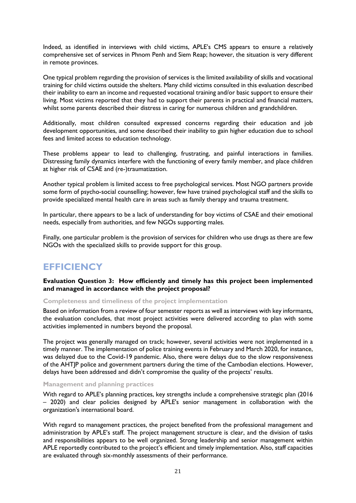Indeed, as identified in interviews with child victims, APLE's CMS appears to ensure a relatively comprehensive set of services in Phnom Penh and Siem Reap; however, the situation is very different in remote provinces.

One typical problem regarding the provision of services is the limited availability of skills and vocational training for child victims outside the shelters. Many child victims consulted in this evaluation described their inability to earn an income and requested vocational training and/or basic support to ensure their living. Most victims reported that they had to support their parents in practical and financial matters, whilst some parents described their distress in caring for numerous children and grandchildren.

Additionally, most children consulted expressed concerns regarding their education and job development opportunities, and some described their inability to gain higher education due to school fees and limited access to education technology.

These problems appear to lead to challenging, frustrating, and painful interactions in families. Distressing family dynamics interfere with the functioning of every family member, and place children at higher risk of CSAE and (re-)traumatization.

Another typical problem is limited access to free psychological services. Most NGO partners provide some form of psycho-social counselling; however, few have trained psychological staff and the skills to provide specialized mental health care in areas such as family therapy and trauma treatment.

In particular, there appears to be a lack of understanding for boy victims of CSAE and their emotional needs, especially from authorities, and few NGOs supporting males.

Finally, one particular problem is the provision of services for children who use drugs as there are few NGOs with the specialized skills to provide support for this group.

# <span id="page-32-0"></span>**EFFICIENCY**

**Evaluation Question 3: How efficiently and timely has this project been implemented and managed in accordance with the project proposal?**

#### **Completeness and timeliness of the project implementation**

Based on information from a review of four semester reports as well as interviews with key informants, the evaluation concludes, that most project activities were delivered according to plan with some activities implemented in numbers beyond the proposal.

The project was generally managed on track; however, several activities were not implemented in a timely manner. The implementation of police training events in February and March 2020, for instance, was delayed due to the Covid-19 pandemic. Also, there were delays due to the slow responsiveness of the AHTJP police and government partners during the time of the Cambodian elections. However, delays have been addressed and didn't compromise the quality of the projects' results.

#### **Management and planning practices**

With regard to APLE's planning practices, key strengths include a comprehensive strategic plan (2016 – 2020) and clear policies designed by APLE's senior management in collaboration with the organization's international board.

With regard to management practices, the project benefited from the professional management and administration by APLE's staff. The project management structure is clear, and the division of tasks and responsibilities appears to be well organized. Strong leadership and senior management within APLE reportedly contributed to the project's efficient and timely implementation. Also, staff capacities are evaluated through six-monthly assessments of their performance.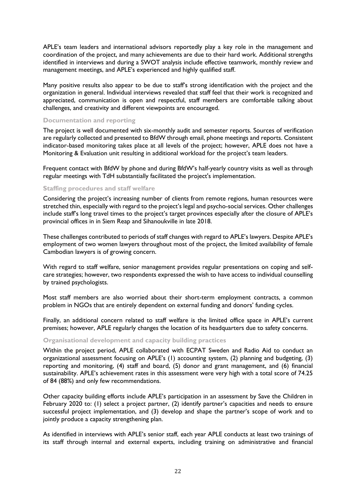APLE's team leaders and international advisors reportedly play a key role in the management and coordination of the project, and many achievements are due to their hard work. Additional strengths identified in interviews and during a SWOT analysis include effective teamwork, monthly review and management meetings, and APLE's experienced and highly qualified staff.

Many positive results also appear to be due to staff's strong identification with the project and the organization in general. Individual interviews revealed that staff feel that their work is recognized and appreciated, communication is open and respectful, staff members are comfortable talking about challenges, and creativity and different viewpoints are encouraged.

### **Documentation and reporting**

The project is well documented with six-monthly audit and semester reports. Sources of verification are regularly collected and presented to BfdW through email, phone meetings and reports. Consistent indicator-based monitoring takes place at all levels of the project; however, APLE does not have a Monitoring & Evaluation unit resulting in additional workload for the project's team leaders.

Frequent contact with BfdW by phone and during BfdW's half-yearly country visits as well as through regular meetings with TdH substantially facilitated the project's implementation.

### **Staffing procedures and staff welfare**

Considering the project's increasing number of clients from remote regions, human resources were stretched thin, especially with regard to the project's legal and psycho-social services. Other challenges include staff's long travel times to the project's target provinces especially after the closure of APLE's provincial offices in in Siem Reap and Sihanoukville in late 2018.

These challenges contributed to periods of staff changes with regard to APLE's lawyers. Despite APLE's employment of two women lawyers throughout most of the project, the limited availability of female Cambodian lawyers is of growing concern.

With regard to staff welfare, senior management provides regular presentations on coping and selfcare strategies; however, two respondents expressed the wish to have access to individual counselling by trained psychologists.

Most staff members are also worried about their short-term employment contracts, a common problem in NGOs that are entirely dependent on external funding and donors' funding cycles.

Finally, an additional concern related to staff welfare is the limited office space in APLE's current premises; however, APLE regularly changes the location of its headquarters due to safety concerns.

### **Organisational development and capacity building practices**

Within the project period, APLE collaborated with ECPAT Sweden and Radio Aid to conduct an organizational assessment focusing on APLE's (1) accounting system, (2) planning and budgeting, (3) reporting and monitoring, (4) staff and board, (5) donor and grant management, and (6) financial sustainability. APLE's achievement rates in this assessment were very high with a total score of 74.25 of 84 (88%) and only few recommendations.

Other capacity building efforts include APLE's participation in an assessment by Save the Children in February 2020 to: (1) select a project partner, (2) identify partner's capacities and needs to ensure successful project implementation, and (3) develop and shape the partner's scope of work and to jointly produce a capacity strengthening plan.

As identified in interviews with APLE's senior staff, each year APLE conducts at least two trainings of its staff through internal and external experts, including training on administrative and financial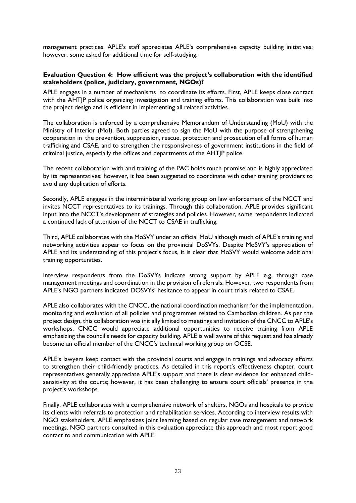management practices. APLE's staff appreciates APLE's comprehensive capacity building initiatives; however, some asked for additional time for self-studying.

## **Evaluation Question 4: How efficient was the project's collaboration with the identified stakeholders (police, judiciary, government, NGOs)?**

APLE engages in a number of mechanisms to coordinate its efforts. First, APLE keeps close contact with the AHTJP police organizing investigation and training efforts. This collaboration was built into the project design and is efficient in implementing all related activities.

The collaboration is enforced by a comprehensive Memorandum of Understanding (MoU) with the Ministry of Interior (MoI). Both parties agreed to sign the MoU with the purpose of strengthening cooperation in the prevention, suppression, rescue, protection and prosecution of all forms of human trafficking and CSAE, and to strengthen the responsiveness of government institutions in the field of criminal justice, especially the offices and departments of the AHTJP police.

The recent collaboration with and training of the PAC holds much promise and is highly appreciated by its representatives; however, it has been suggested to coordinate with other training providers to avoid any duplication of efforts.

Secondly, APLE engages in the interministerial working group on law enforcement of the NCCT and invites NCCT representatives to its trainings. Through this collaboration, APLE provides significant input into the NCCT's development of strategies and policies. However, some respondents indicated a continued lack of attention of the NCCT to CSAE in trafficking.

Third, APLE collaborates with the MoSVY under an official MoU although much of APLE's training and networking activities appear to focus on the provincial DoSVYs. Despite MoSVY's appreciation of APLE and its understanding of this project's focus, it is clear that MoSVY would welcome additional training opportunities.

Interview respondents from the DoSVYs indicate strong support by APLE e.g. through case management meetings and coordination in the provision of referrals. However, two respondents from APLE's NGO partners indicated DOSVYs' hesitance to appear in court trials related to CSAE.

APLE also collaborates with the CNCC, the national coordination mechanism for the implementation, monitoring and evaluation of all policies and programmes related to Cambodian children. As per the project design, this collaboration was initially limited to meetings and invitation of the CNCC to APLE's workshops. CNCC would appreciate additional opportunities to receive training from APLE emphasizing the council's needs for capacity building. APLE is well aware of this request and has already become an official member of the CNCC's technical working group on OCSE.

APLE's lawyers keep contact with the provincial courts and engage in trainings and advocacy efforts to strengthen their child-friendly practices. As detailed in this report's effectiveness chapter, court representatives generally appreciate APLE's support and there is clear evidence for enhanced childsensitivity at the courts; however, it has been challenging to ensure court officials' presence in the project's workshops.

Finally, APLE collaborates with a comprehensive network of shelters, NGOs and hospitals to provide its clients with referrals to protection and rehabilitation services. According to interview results with NGO stakeholders, APLE emphasizes joint learning based on regular case management and network meetings. NGO partners consulted in this evaluation appreciate this approach and most report good contact to and communication with APLE.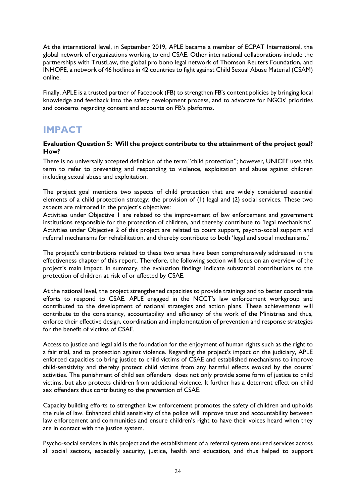At the international level, in September 2019, APLE became a member of ECPAT International, the global network of organizations working to end CSAE. Other international collaborations include the partnerships with TrustLaw, the global pro bono legal network of Thomson Reuters Foundation, and INHOPE, a network of 46 hotlines in 42 countries to fight against Child Sexual Abuse Material (CSAM) online.

Finally, APLE is a trusted partner of Facebook (FB) to strengthen FB's content policies by bringing local knowledge and feedback into the safety development process, and to advocate for NGOs' priorities and concerns regarding content and accounts on FB's platforms.

## <span id="page-35-0"></span>**IMPACT**

### **Evaluation Question 5: Will the project contribute to the attainment of the project goal? How?**

There is no universally accepted definition of the term "child protection"; however, UNICEF uses this term to refer to preventing and responding to violence, exploitation and abuse against children including sexual abuse and exploitation.

The project goal mentions two aspects of child protection that are widely considered essential elements of a child protection strategy: the provision of (1) legal and (2) social services. These two aspects are mirrored in the project's objectives:

Activities under Objective 1 are related to the improvement of law enforcement and government institutions responsible for the protection of children, and thereby contribute to 'legal mechanisms'. Activities under Objective 2 of this project are related to court support, psycho-social support and referral mechanisms for rehabilitation, and thereby contribute to both 'legal and social mechanisms.'

The project's contributions related to these two areas have been comprehensively addressed in the effectiveness chapter of this report. Therefore, the following section will focus on an overview of the project's main impact. In summary, the evaluation findings indicate substantial contributions to the protection of children at risk of or affected by CSAE.

At the national level, the project strengthened capacities to provide trainings and to better coordinate efforts to respond to CSAE. APLE engaged in the NCCT's law enforcement workgroup and contributed to the development of national strategies and action plans. These achievements will contribute to the consistency, accountability and efficiency of the work of the Ministries and thus, enforce their effective design, coordination and implementation of prevention and response strategies for the benefit of victims of CSAE.

Access to justice and legal aid is the foundation for the enjoyment of human rights such as the right to a fair trial, and to protection against violence. Regarding the project's impact on the judiciary, APLE enforced capacities to bring justice to child victims of CSAE and established mechanisms to improve child-sensitivity and thereby protect child victims from any harmful effects evoked by the courts' activities. The punishment of child sex offenders does not only provide some form of justice to child victims, but also protects children from additional violence. It further has a deterrent effect on child sex offenders thus contributing to the prevention of CSAE.

Capacity building efforts to strengthen law enforcement promotes the safety of children and upholds the rule of law. Enhanced child sensitivity of the police will improve trust and accountability between law enforcement and communities and ensure children's right to have their voices heard when they are in contact with the justice system.

Psycho-social services in this project and the establishment of a referral system ensured services across all social sectors, especially security, justice, health and education, and thus helped to support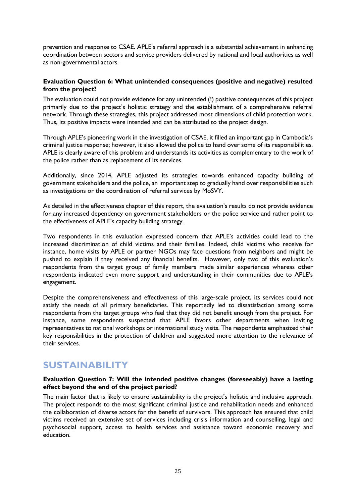prevention and response to CSAE. APLE's referral approach is a substantial achievement in enhancing coordination between sectors and service providers delivered by national and local authorities as well as non-governmental actors.

#### **Evaluation Question 6: What unintended consequences (positive and negative) resulted from the project?**

The evaluation could not provide evidence for any unintended (!) positive consequences of this project primarily due to the project's holistic strategy and the establishment of a comprehensive referral network. Through these strategies, this project addressed most dimensions of child protection work. Thus, its positive impacts were intended and can be attributed to the project design.

Through APLE's pioneering work in the investigation of CSAE, it filled an important gap in Cambodia's criminal justice response; however, it also allowed the police to hand over some of its responsibilities. APLE is clearly aware of this problem and understands its activities as complementary to the work of the police rather than as replacement of its services.

Additionally, since 2014, APLE adjusted its strategies towards enhanced capacity building of government stakeholders and the police, an important step to gradually hand over responsibilities such as investigations or the coordination of referral services by MoSVY.

As detailed in the effectiveness chapter of this report, the evaluation's results do not provide evidence for any increased dependency on government stakeholders or the police service and rather point to the effectiveness of APLE's capacity building strategy.

Two respondents in this evaluation expressed concern that APLE's activities could lead to the increased discrimination of child victims and their families. Indeed, child victims who receive for instance, home visits by APLE or partner NGOs may face questions from neighbors and might be pushed to explain if they received any financial benefits. However, only two of this evaluation's respondents from the target group of family members made similar experiences whereas other respondents indicated even more support and understanding in their communities due to APLE's engagement.

Despite the comprehensiveness and effectiveness of this large-scale project, its services could not satisfy the needs of all primary beneficiaries. This reportedly led to dissatisfaction among some respondents from the target groups who feel that they did not benefit enough from the project. For instance, some respondents suspected that APLE favors other departments when inviting representatives to national workshops or international study visits. The respondents emphasized their key responsibilities in the protection of children and suggested more attention to the relevance of their services.

# **SUSTAINABILITY**

## **Evaluation Question 7: Will the intended positive changes (foreseeably) have a lasting effect beyond the end of the project period?**

The main factor that is likely to ensure sustainability is the project's holistic and inclusive approach. The project responds to the most significant criminal justice and rehabilitation needs and enhanced the collaboration of diverse actors for the benefit of survivors. This approach has ensured that child victims received an extensive set of services including crisis information and counselling, legal and psychosocial support, access to health services and assistance toward economic recovery and education.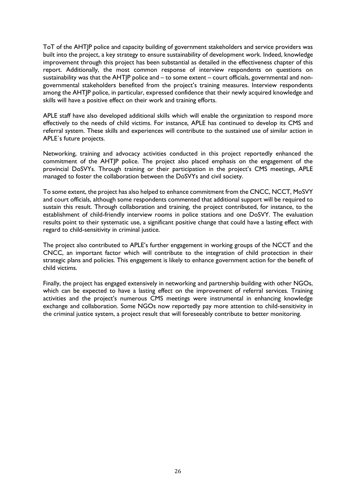ToT of the AHTJP police and capacity building of government stakeholders and service providers was built into the project, a key strategy to ensure sustainability of development work. Indeed, knowledge improvement through this project has been substantial as detailed in the effectiveness chapter of this report. Additionally, the most common response of interview respondents on questions on sustainability was that the AHTJP police and – to some extent – court officials, governmental and nongovernmental stakeholders benefited from the project's training measures. Interview respondents among the AHTJP police, in particular, expressed confidence that their newly acquired knowledge and skills will have a positive effect on their work and training efforts.

APLE staff have also developed additional skills which will enable the organization to respond more effectively to the needs of child victims. For instance, APLE has continued to develop its CMS and referral system. These skills and experiences will contribute to the sustained use of similar action in APLE´s future projects.

Networking, training and advocacy activities conducted in this project reportedly enhanced the commitment of the AHTJP police. The project also placed emphasis on the engagement of the provincial DoSVYs. Through training or their participation in the project's CMS meetings, APLE managed to foster the collaboration between the DoSVYs and civil society.

To some extent, the project has also helped to enhance commitment from the CNCC, NCCT, MoSVY and court officials, although some respondents commented that additional support will be required to sustain this result. Through collaboration and training, the project contributed, for instance, to the establishment of child-friendly interview rooms in police stations and one DoSVY. The evaluation results point to their systematic use, a significant positive change that could have a lasting effect with regard to child-sensitivity in criminal justice.

The project also contributed to APLE's further engagement in working groups of the NCCT and the CNCC, an important factor which will contribute to the integration of child protection in their strategic plans and policies. This engagement is likely to enhance government action for the benefit of child victims.

Finally, the project has engaged extensively in networking and partnership building with other NGOs, which can be expected to have a lasting effect on the improvement of referral services. Training activities and the project's numerous CMS meetings were instrumental in enhancing knowledge exchange and collaboration. Some NGOs now reportedly pay more attention to child-sensitivity in the criminal justice system, a project result that will foreseeably contribute to better monitoring.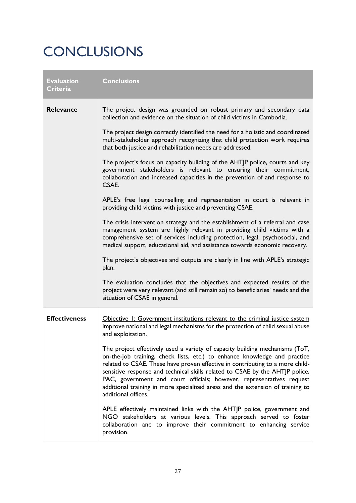# **CONCLUSIONS**

| <b>Evaluation</b><br>Criteria | <b>Conclusions</b>                                                                                                                                                                                                                                                                                                                                                                                                                                                                                           |
|-------------------------------|--------------------------------------------------------------------------------------------------------------------------------------------------------------------------------------------------------------------------------------------------------------------------------------------------------------------------------------------------------------------------------------------------------------------------------------------------------------------------------------------------------------|
| <b>Relevance</b>              | The project design was grounded on robust primary and secondary data<br>collection and evidence on the situation of child victims in Cambodia.                                                                                                                                                                                                                                                                                                                                                               |
|                               | The project design correctly identified the need for a holistic and coordinated<br>multi-stakeholder approach recognizing that child protection work requires<br>that both justice and rehabilitation needs are addressed.                                                                                                                                                                                                                                                                                   |
|                               | The project's focus on capacity building of the AHTJP police, courts and key<br>government stakeholders is relevant to ensuring their commitment,<br>collaboration and increased capacities in the prevention of and response to<br>CSAE.                                                                                                                                                                                                                                                                    |
|                               | APLE's free legal counselling and representation in court is relevant in<br>providing child victims with justice and preventing CSAE.                                                                                                                                                                                                                                                                                                                                                                        |
|                               | The crisis intervention strategy and the establishment of a referral and case<br>management system are highly relevant in providing child victims with a<br>comprehensive set of services including protection, legal, psychosocial, and<br>medical support, educational aid, and assistance towards economic recovery.                                                                                                                                                                                      |
|                               | The project's objectives and outputs are clearly in line with APLE's strategic<br>plan.                                                                                                                                                                                                                                                                                                                                                                                                                      |
|                               | The evaluation concludes that the objectives and expected results of the<br>project were very relevant (and still remain so) to beneficiaries' needs and the<br>situation of CSAE in general.                                                                                                                                                                                                                                                                                                                |
| <b>Effectiveness</b>          | Objective I: Government institutions relevant to the criminal justice system<br>improve national and legal mechanisms for the protection of child sexual abuse<br>and exploitation.                                                                                                                                                                                                                                                                                                                          |
|                               | The project effectively used a variety of capacity building mechanisms (ToT,<br>on-the-job training, check lists, etc.) to enhance knowledge and practice<br>related to CSAE. These have proven effective in contributing to a more child-<br>sensitive response and technical skills related to CSAE by the AHTJP police,<br>PAC, government and court officials; however, representatives request<br>additional training in more specialized areas and the extension of training to<br>additional offices. |
|                               | APLE effectively maintained links with the AHTJP police, government and<br>NGO stakeholders at various levels. This approach served to foster<br>collaboration and to improve their commitment to enhancing service<br>provision.                                                                                                                                                                                                                                                                            |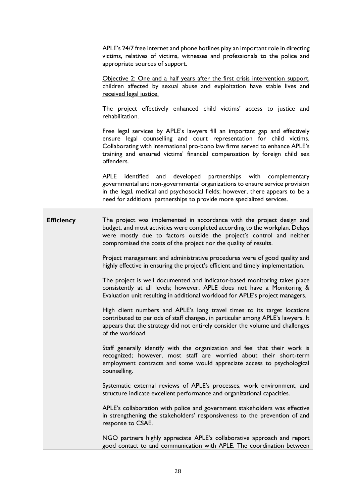|                   | APLE's 24/7 free internet and phone hotlines play an important role in directing<br>victims, relatives of victims, witnesses and professionals to the police and<br>appropriate sources of support.<br>Objective 2: One and a half years after the first crisis intervention support,<br>children affected by sexual abuse and exploitation have stable lives and<br>received legal justice.<br>The project effectively enhanced child victims' access to justice and<br>rehabilitation.<br>Free legal services by APLE's lawyers fill an important gap and effectively<br>ensure legal counselling and court representation for child victims.<br>Collaborating with international pro-bono law firms served to enhance APLE's<br>training and ensured victims' financial compensation by foreign child sex<br>offenders.<br>APLE<br>identified<br>developed partnerships with complementary<br>and<br>governmental and non-governmental organizations to ensure service provision<br>in the legal, medical and psychosocial fields; however, there appears to be a<br>need for additional partnerships to provide more specialized services.                                                                                                                                                                                                                                                                                                                                                                                                                                                                                                                                                                        |
|-------------------|-----------------------------------------------------------------------------------------------------------------------------------------------------------------------------------------------------------------------------------------------------------------------------------------------------------------------------------------------------------------------------------------------------------------------------------------------------------------------------------------------------------------------------------------------------------------------------------------------------------------------------------------------------------------------------------------------------------------------------------------------------------------------------------------------------------------------------------------------------------------------------------------------------------------------------------------------------------------------------------------------------------------------------------------------------------------------------------------------------------------------------------------------------------------------------------------------------------------------------------------------------------------------------------------------------------------------------------------------------------------------------------------------------------------------------------------------------------------------------------------------------------------------------------------------------------------------------------------------------------------------------------------------------------------------------------------------------------------------|
|                   |                                                                                                                                                                                                                                                                                                                                                                                                                                                                                                                                                                                                                                                                                                                                                                                                                                                                                                                                                                                                                                                                                                                                                                                                                                                                                                                                                                                                                                                                                                                                                                                                                                                                                                                       |
| <b>Efficiency</b> | The project was implemented in accordance with the project design and<br>budget, and most activities were completed according to the workplan. Delays<br>were mostly due to factors outside the project's control and neither<br>compromised the costs of the project nor the quality of results.<br>Project management and administrative procedures were of good quality and<br>highly effective in ensuring the project's efficient and timely implementation.<br>The project is well documented and indicator-based monitoring takes place<br>consistently at all levels; however, APLE does not have a Monitoring &<br>Evaluation unit resulting in additional workload for APLE's project managers.<br>High client numbers and APLE's long travel times to its target locations<br>contributed to periods of staff changes, in particular among APLE's lawyers. It<br>appears that the strategy did not entirely consider the volume and challenges<br>of the workload.<br>Staff generally identify with the organization and feel that their work is<br>recognized; however, most staff are worried about their short-term<br>employment contracts and some would appreciate access to psychological<br>counselling.<br>Systematic external reviews of APLE's processes, work environment, and<br>structure indicate excellent performance and organizational capacities.<br>APLE's collaboration with police and government stakeholders was effective<br>in strengthening the stakeholders' responsiveness to the prevention of and<br>response to CSAE.<br>NGO partners highly appreciate APLE's collaborative approach and report<br>good contact to and communication with APLE. The coordination between |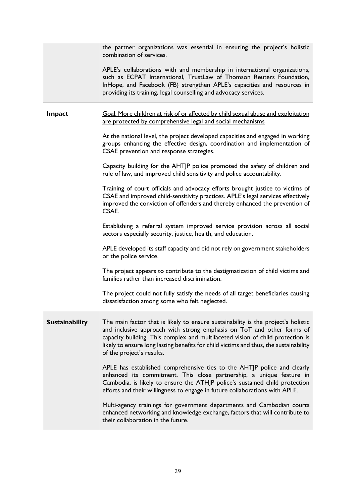|                       | the partner organizations was essential in ensuring the project's holistic<br>combination of services.<br>APLE's collaborations with and membership in international organizations,<br>such as ECPAT International, TrustLaw of Thomson Reuters Foundation,                                                                                                        |
|-----------------------|--------------------------------------------------------------------------------------------------------------------------------------------------------------------------------------------------------------------------------------------------------------------------------------------------------------------------------------------------------------------|
|                       | InHope, and Facebook (FB) strengthen APLE's capacities and resources in<br>providing its training, legal counselling and advocacy services.                                                                                                                                                                                                                        |
| Impact                | Goal: More children at risk of or affected by child sexual abuse and exploitation<br>are protected by comprehensive legal and social mechanisms                                                                                                                                                                                                                    |
|                       | At the national level, the project developed capacities and engaged in working<br>groups enhancing the effective design, coordination and implementation of<br>CSAE prevention and response strategies.                                                                                                                                                            |
|                       | Capacity building for the AHTJP police promoted the safety of children and<br>rule of law, and improved child sensitivity and police accountability.                                                                                                                                                                                                               |
|                       | Training of court officials and advocacy efforts brought justice to victims of<br>CSAE and improved child-sensitivity practices. APLE's legal services effectively<br>improved the conviction of offenders and thereby enhanced the prevention of<br>CSAE.                                                                                                         |
|                       | Establishing a referral system improved service provision across all social<br>sectors especially security, justice, health, and education.                                                                                                                                                                                                                        |
|                       | APLE developed its staff capacity and did not rely on government stakeholders<br>or the police service.                                                                                                                                                                                                                                                            |
|                       | The project appears to contribute to the destigmatization of child victims and<br>families rather than increased discrimination.                                                                                                                                                                                                                                   |
|                       | The project could not fully satisfy the needs of all target beneficiaries causing<br>dissatisfaction among some who felt neglected.                                                                                                                                                                                                                                |
| <b>Sustainability</b> | The main factor that is likely to ensure sustainability is the project's holistic<br>and inclusive approach with strong emphasis on ToT and other forms of<br>capacity building. This complex and multifaceted vision of child protection is<br>likely to ensure long lasting benefits for child victims and thus, the sustainability<br>of the project's results. |
|                       | APLE has established comprehensive ties to the AHTJP police and clearly<br>enhanced its commitment. This close partnership, a unique feature in<br>Cambodia, is likely to ensure the ATHJP police's sustained child protection<br>efforts and their willingness to engage in future collaborations with APLE.                                                      |
|                       | Multi-agency trainings for government departments and Cambodian courts<br>enhanced networking and knowledge exchange, factors that will contribute to<br>their collaboration in the future.                                                                                                                                                                        |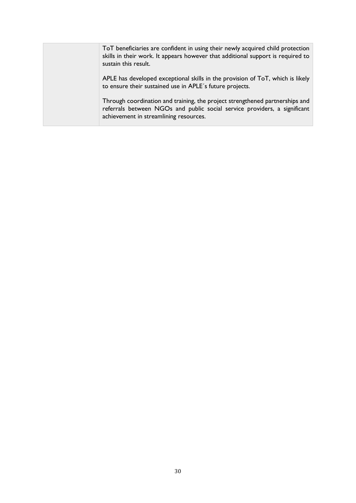ToT beneficiaries are confident in using their newly acquired child protection skills in their work. It appears however that additional support is required to sustain this result. APLE has developed exceptional skills in the provision of ToT, which is likely to ensure their sustained use in APLE´s future projects. Through coordination and training, the project strengthened partnerships and referrals between NGOs and public social service providers, a significant achievement in streamlining resources.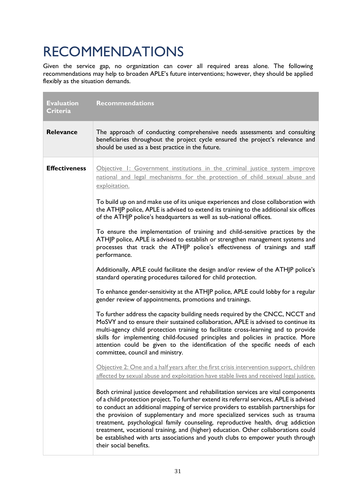# RECOMMENDATIONS

Given the service gap, no organization can cover all required areas alone. The following recommendations may help to broaden APLE's future interventions; however, they should be applied flexibly as the situation demands.

| <b>Evaluation</b><br><b>Criteria</b> | <b>Recommendations</b>                                                                                                                                                                                                                                                                                                                                                                                                                                                                                                                                                                                                                                                                                                                                                                                                                                                                                                                                                                                                                                                                                                                                                                                                                                                                                                                                                                                                                                                                                                                                                                                                                                                                                                                                                                                                                                                                                                                                                                                                                                                                                                                                                                                                                                                                                             |
|--------------------------------------|--------------------------------------------------------------------------------------------------------------------------------------------------------------------------------------------------------------------------------------------------------------------------------------------------------------------------------------------------------------------------------------------------------------------------------------------------------------------------------------------------------------------------------------------------------------------------------------------------------------------------------------------------------------------------------------------------------------------------------------------------------------------------------------------------------------------------------------------------------------------------------------------------------------------------------------------------------------------------------------------------------------------------------------------------------------------------------------------------------------------------------------------------------------------------------------------------------------------------------------------------------------------------------------------------------------------------------------------------------------------------------------------------------------------------------------------------------------------------------------------------------------------------------------------------------------------------------------------------------------------------------------------------------------------------------------------------------------------------------------------------------------------------------------------------------------------------------------------------------------------------------------------------------------------------------------------------------------------------------------------------------------------------------------------------------------------------------------------------------------------------------------------------------------------------------------------------------------------------------------------------------------------------------------------------------------------|
| <b>Relevance</b>                     | The approach of conducting comprehensive needs assessments and consulting<br>beneficiaries throughout the project cycle ensured the project's relevance and<br>should be used as a best practice in the future.                                                                                                                                                                                                                                                                                                                                                                                                                                                                                                                                                                                                                                                                                                                                                                                                                                                                                                                                                                                                                                                                                                                                                                                                                                                                                                                                                                                                                                                                                                                                                                                                                                                                                                                                                                                                                                                                                                                                                                                                                                                                                                    |
| <b>Effectiveness</b>                 | Objective I: Government institutions in the criminal justice system improve<br>national and legal mechanisms for the protection of child sexual abuse and<br>exploitation.<br>To build up on and make use of its unique experiences and close collaboration with<br>the ATHJP police, APLE is advised to extend its training to the additional six offices<br>of the ATHJP police's headquarters as well as sub-national offices.<br>To ensure the implementation of training and child-sensitive practices by the<br>ATHJP police, APLE is advised to establish or strengthen management systems and<br>processes that track the ATHJP police's effectiveness of trainings and staff<br>performance.<br>Additionally, APLE could facilitate the design and/or review of the ATHJP police's<br>standard operating procedures tailored for child protection.<br>To enhance gender-sensitivity at the ATHJP police, APLE could lobby for a regular<br>gender review of appointments, promotions and trainings.<br>To further address the capacity building needs required by the CNCC, NCCT and<br>MoSVY and to ensure their sustained collaboration, APLE is advised to continue its<br>multi-agency child protection training to facilitate cross-learning and to provide<br>skills for implementing child-focused principles and policies in practice. More<br>attention could be given to the identification of the specific needs of each<br>committee, council and ministry.<br>Objective 2: One and a half years after the first crisis intervention support, children<br>affected by sexual abuse and exploitation have stable lives and received legal justice.<br>Both criminal justice development and rehabilitation services are vital components<br>of a child protection project. To further extend its referral services, APLE is advised<br>to conduct an additional mapping of service providers to establish partnerships for<br>the provision of supplementary and more specialized services such as trauma<br>treatment, psychological family counseling, reproductive health, drug addiction<br>treatment, vocational training, and (higher) education. Other collaborations could<br>be established with arts associations and youth clubs to empower youth through<br>their social benefits. |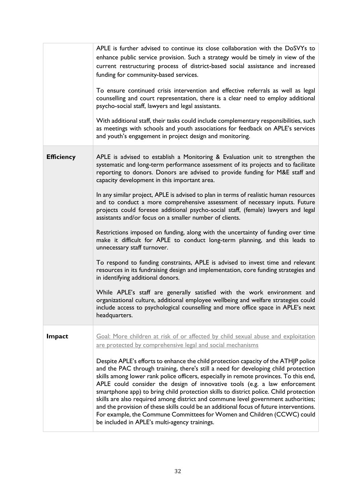|                   | APLE is further advised to continue its close collaboration with the DoSVYs to<br>enhance public service provision. Such a strategy would be timely in view of the<br>current restructuring process of district-based social assistance and increased<br>funding for community-based services.                                                                                                                                                                                                                                                                                                                                                                                                                                                        |
|-------------------|-------------------------------------------------------------------------------------------------------------------------------------------------------------------------------------------------------------------------------------------------------------------------------------------------------------------------------------------------------------------------------------------------------------------------------------------------------------------------------------------------------------------------------------------------------------------------------------------------------------------------------------------------------------------------------------------------------------------------------------------------------|
|                   | To ensure continued crisis intervention and effective referrals as well as legal<br>counselling and court representation, there is a clear need to employ additional<br>psycho-social staff, lawyers and legal assistants.                                                                                                                                                                                                                                                                                                                                                                                                                                                                                                                            |
|                   | With additional staff, their tasks could include complementary responsibilities, such<br>as meetings with schools and youth associations for feedback on APLE's services<br>and youth's engagement in project design and monitoring.                                                                                                                                                                                                                                                                                                                                                                                                                                                                                                                  |
| <b>Efficiency</b> | APLE is advised to establish a Monitoring & Evaluation unit to strengthen the<br>systematic and long-term performance assessment of its projects and to facilitate<br>reporting to donors. Donors are advised to provide funding for M&E staff and<br>capacity development in this important area.                                                                                                                                                                                                                                                                                                                                                                                                                                                    |
|                   | In any similar project, APLE is advised to plan in terms of realistic human resources<br>and to conduct a more comprehensive assessment of necessary inputs. Future<br>projects could foresee additional psycho-social staff, (female) lawyers and legal<br>assistants and/or focus on a smaller number of clients.                                                                                                                                                                                                                                                                                                                                                                                                                                   |
|                   | Restrictions imposed on funding, along with the uncertainty of funding over time<br>make it difficult for APLE to conduct long-term planning, and this leads to<br>unnecessary staff turnover.                                                                                                                                                                                                                                                                                                                                                                                                                                                                                                                                                        |
|                   | To respond to funding constraints, APLE is advised to invest time and relevant<br>resources in its fundraising design and implementation, core funding strategies and<br>in identifying additional donors.                                                                                                                                                                                                                                                                                                                                                                                                                                                                                                                                            |
|                   | While APLE's staff are generally satisfied with the work environment and<br>organizational culture, additional employee wellbeing and welfare strategies could<br>include access to psychological counselling and more office space in APLE's next<br>headquarters.                                                                                                                                                                                                                                                                                                                                                                                                                                                                                   |
| Impact            | Goal: More children at risk of or affected by child sexual abuse and exploitation                                                                                                                                                                                                                                                                                                                                                                                                                                                                                                                                                                                                                                                                     |
|                   | are protected by comprehensive legal and social mechanisms                                                                                                                                                                                                                                                                                                                                                                                                                                                                                                                                                                                                                                                                                            |
|                   | Despite APLE's efforts to enhance the child protection capacity of the ATHJP police<br>and the PAC through training, there's still a need for developing child protection<br>skills among lower rank police officers, especially in remote provinces. To this end,<br>APLE could consider the design of innovative tools (e.g. a law enforcement<br>smartphone app) to bring child protection skills to district police. Child protection<br>skills are also required among district and commune level government authorities;<br>and the provision of these skills could be an additional focus of future interventions.<br>For example, the Commune Committees for Women and Children (CCWC) could<br>be included in APLE's multi-agency trainings. |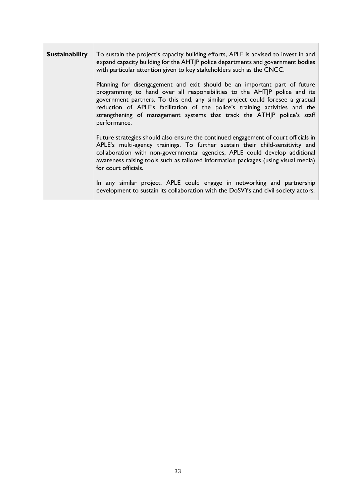| <b>Sustainability</b> | To sustain the project's capacity building efforts, APLE is advised to invest in and<br>expand capacity building for the AHTJP police departments and government bodies<br>with particular attention given to key stakeholders such as the CNCC.                                                                                                                                                                   |
|-----------------------|--------------------------------------------------------------------------------------------------------------------------------------------------------------------------------------------------------------------------------------------------------------------------------------------------------------------------------------------------------------------------------------------------------------------|
|                       | Planning for disengagement and exit should be an important part of future<br>programming to hand over all responsibilities to the AHTJP police and its<br>government partners. To this end, any similar project could foresee a gradual<br>reduction of APLE's facilitation of the police's training activities and the<br>strengthening of management systems that track the ATHJP police's staff<br>performance. |
|                       | Future strategies should also ensure the continued engagement of court officials in<br>APLE's multi-agency trainings. To further sustain their child-sensitivity and<br>collaboration with non-governmental agencies, APLE could develop additional<br>awareness raising tools such as tailored information packages (using visual media)<br>for court officials.                                                  |
|                       | In any similar project, APLE could engage in networking and partnership<br>development to sustain its collaboration with the DoSVYs and civil society actors.                                                                                                                                                                                                                                                      |

Г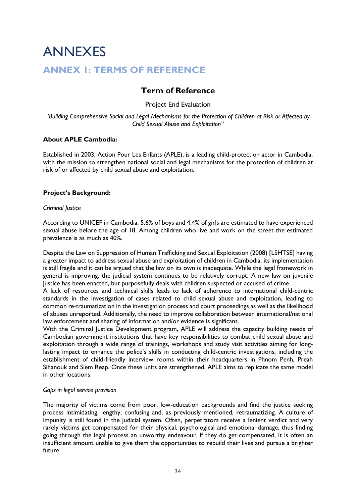# ANNEXES

# **ANNEX 1: TERMS OF REFERENCE**

# **Term of Reference**

# Project End Evaluation

*"Building Comprehensive Social and Legal Mechanisms for the Protection of Children at Risk or Affected by Child Sexual Abuse and Exploitation"*

## **About APLE Cambodia:**

Established in 2003, Action Pour Les Enfants (APLE), is a leading child-protection actor in Cambodia, with the mission to strengthen national social and legal mechanisms for the protection of children at risk of or affected by child sexual abuse and exploitation.

## **Project's Background:**

#### *Criminal Justice*

According to UNICEF in Cambodia, 5,6% of boys and 4,4% of girls are estimated to have experienced sexual abuse before the age of 18. Among children who live and work on the street the estimated prevalence is as much as 40%.

Despite the Law on Suppression of Human Trafficking and Sexual Exploitation (2008) [LSHTSE] having a greater impact to address sexual abuse and exploitation of children in Cambodia, its implementation is still fragile and it can be argued that the law on its own is inadequate. While the legal framework in general is improving, the judicial system continues to be relatively corrupt. A new law on juvenile justice has been enacted, but purposefully deals with children suspected or accused of crime.

A lack of resources and technical skills leads to lack of adherence to international child-centric standards in the investigation of cases related to child sexual abuse and exploitation, leading to common re-traumatization in the investigation process and court proceedings as well as the likelihood of abuses unreported. Additionally, the need to improve collaboration between international/national law enforcement and sharing of information and/or evidence is significant.

With the Criminal Justice Development program, APLE will address the capacity building needs of Cambodian government institutions that have key responsibilities to combat child sexual abuse and exploitation through a wide range of trainings, workshops and study visit activities aiming for longlasting impact to enhance the police's skills in conducting child-centric investigations, including the establishment of child-friendly interview rooms within their headquarters in Phnom Penh, Preah Sihanouk and Siem Reap. Once these units are strengthened, APLE aims to replicate the same model in other locations.

#### *Gaps in legal service provision*

The majority of victims come from poor, low-education backgrounds and find the justice seeking process intimidating, lengthy, confusing and, as previously mentioned, retraumatizing. A culture of impunity is still found in the judicial system. Often, perpetrators receive a lenient verdict and very rarely victims get compensated for their physical, psychological and emotional damage, thus finding going through the legal process an unworthy endeavour. If they do get compensated, it is often an insufficient amount unable to give them the opportunities to rebuild their lives and pursue a brighter future.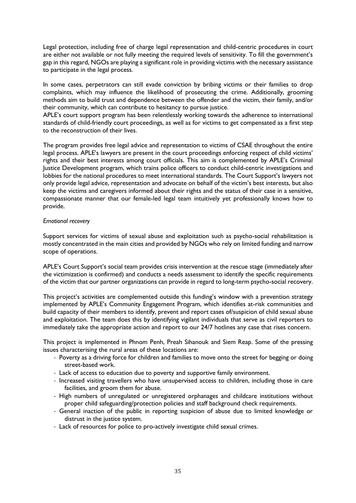Legal protection, including free of charge legal representation and child-centric procedures in court are either not available or not fully meeting the required levels of sensitivity. To fill the government's gap in this regard, NGOs are playing a significant role in providing victims with the necessary assistance to participate in the legal process.

In some cases, perpetrators can still evade conviction by bribing victims or their families to drop complaints, which may influence the likelihood of prosecuting the crime. Additionally, grooming methods aim to build trust and dependence between the offender and the victim, their family, and/or their community, which can contribute to hesitancy to pursue justice.

APLE's court support program has been relentlessly working towards the adherence to international standards of child-friendly court proceedings, as well as for victims to get compensated as a first step to the reconstruction of their lives.

The program provides free legal advice and representation to victims of CSAE throughout the entire legal process. APLE's lawyers are present in the court proceedings enforcing respect of child victims' rights and their best interests among court officials. This aim is complemented by APLE's Criminal Justice Development program, which trains police officers to conduct child-centric investigations and lobbies for the national procedures to meet international standards. The Court Support's lawyers not only provide legal advice, representation and advocate on behalf of the victim's best interests, but also keep the victims and caregivers informed about their rights and the status of their case in a sensitive, compassionate manner that our female-led legal team intuitively yet professionally knows how to provide.

#### *Emotional recovery*

Support services for victims of sexual abuse and exploitation such as psycho-social rehabilitation is mostly concentrated in the main cities and provided by NGOs who rely on limited funding and narrow scope of operations.

APLE's Court Support's social team provides crisis intervention at the rescue stage (immediately after the victimization is confirmed) and conducts a needs assessment to identify the specific requirements of the victim that our partner organizations can provide in regard to long-term psycho-social recovery.

This project's activities are complemented outside this funding's window with a prevention strategy implemented by APLE's Community Engagement Program, which identifies at-risk communities and build capacity of their members to identify, prevent and report cases of/suspicion of child sexual abuse and exploitation. The team does this by identifying vigilant individuals that serve as civil reporters to immediately take the appropriate action and report to our 24/7 hotlines any case that rises concern.

This project is implemented in Phnom Penh, Preah Sihanouk and Siem Reap. Some of the pressing issues characterising the rural areas of these locations are:

- Poverty as a driving force for children and families to move onto the street for begging or doing street-based work.
- Lack of access to education due to poverty and supportive family environment.
- Increased visiting travellers who have unsupervised access to children, including those in care facilities, and groom them for abuse.
- High numbers of unregulated or unregistered orphanages and childcare institutions without proper child safeguarding/protection policies and staff background check requirements.
- General inaction of the public in reporting suspicion of abuse due to limited knowledge or distrust in the justice system.
- Lack of resources for police to pro-actively investigate child sexual crimes.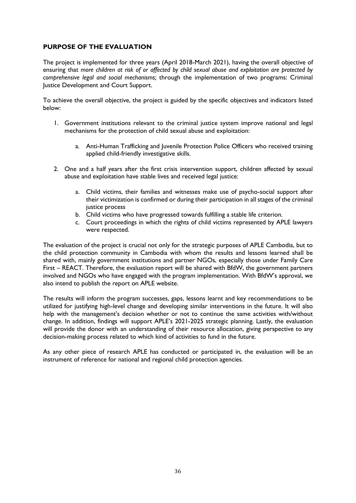## **PURPOSE OF THE EVALUATION**

The project is implemented for three years (April 2018-March 2021), having the overall objective of ensuring that *more children at risk of or affected by child sexual abuse and exploitation are protected by comprehensive legal and social mechanisms;* through the implementation of two programs: Criminal Justice Development and Court Support.

To achieve the overall objective, the project is guided by the specific objectives and indicators listed below:

- 1. Government institutions relevant to the criminal justice system improve national and legal mechanisms for the protection of child sexual abuse and exploitation:
	- a. Anti-Human Trafficking and Juvenile Protection Police Officers who received training applied child-friendly investigative skills.
- 2. One and a half years after the first crisis intervention support, children affected by sexual abuse and exploitation have stable lives and received legal justice:
	- a. Child victims, their families and witnesses make use of psycho-social support after their victimization is confirmed or during their participation in all stages of the criminal justice process
	- b. Child victims who have progressed towards fulfilling a stable life criterion.
	- c. Court proceedings in which the rights of child victims represented by APLE lawyers were respected.

The evaluation of the project is crucial not only for the strategic purposes of APLE Cambodia, but to the child protection community in Cambodia with whom the results and lessons learned shall be shared with, mainly government institutions and partner NGOs, especially those under Family Care First – REACT. Therefore, the evaluation report will be shared with BfdW, the government partners involved and NGOs who have engaged with the program implementation. With BfdW's approval, we also intend to publish the report on APLE website.

The results will inform the program successes, gaps, lessons learnt and key recommendations to be utilized for justifying high-level change and developing similar interventions in the future. It will also help with the management's decision whether or not to continue the same activities with/without change. In addition, findings will support APLE's 2021-2025 strategic planning. Lastly, the evaluation will provide the donor with an understanding of their resource allocation, giving perspective to any decision-making process related to which kind of activities to fund in the future.

As any other piece of research APLE has conducted or participated in, the evaluation will be an instrument of reference for national and regional child protection agencies.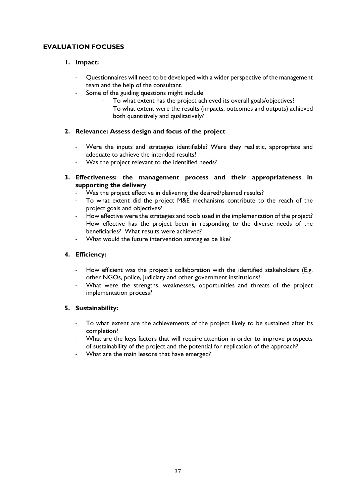# **EVALUATION FOCUSES**

# **1. Impact:**

- Questionnaires will need to be developed with a wider perspective of the management team and the help of the consultant.
- Some of the guiding questions might include
	- To what extent has the project achieved its overall goals/objectives?
	- To what extent were the results (impacts, outcomes and outputs) achieved both quantitively and qualitatively?

## **2. Relevance: Assess design and focus of the project**

- Were the inputs and strategies identifiable? Were they realistic, appropriate and adequate to achieve the intended results?
- Was the project relevant to the identified needs?
- **3. Effectiveness: the management process and their appropriateness in supporting the delivery**
	- Was the project effective in delivering the desired/planned results?
	- To what extent did the project M&E mechanisms contribute to the reach of the project goals and objectives?
	- How effective were the strategies and tools used in the implementation of the project?
	- How effective has the project been in responding to the diverse needs of the beneficiaries? What results were achieved?
	- What would the future intervention strategies be like?

# **4. Efficiency:**

- How efficient was the project's collaboration with the identified stakeholders (E.g. other NGOs, police, judiciary and other government institutions?
- What were the strengths, weaknesses, opportunities and threats of the project implementation process?

## **5. Sustainability:**

- To what extent are the achievements of the project likely to be sustained after its completion?
- What are the keys factors that will require attention in order to improve prospects of sustainability of the project and the potential for replication of the approach?
- What are the main lessons that have emerged?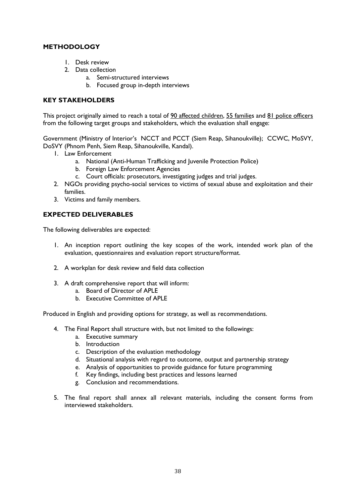# **METHODOLOGY**

- 1. Desk review
- 2. Data collection
	- a. Semi-structured interviews
	- b. Focused group in-depth interviews

# **KEY STAKEHOLDERS**

This project originally aimed to reach a total of 90 affected children, 55 families and 81 police officers from the following target groups and stakeholders, which the evaluation shall engage:

Government (Ministry of Interior's NCCT and PCCT (Siem Reap, Sihanoukville); CCWC, MoSVY, DoSVY (Phnom Penh, Siem Reap, Sihanoukville, Kandal).

- 1. Law Enforcement
	- a. National (Anti-Human Trafficking and Juvenile Protection Police)
	- b. Foreign Law Enforcement Agencies
	- c. Court officials: prosecutors, investigating judges and trial judges.
	- 2. NGOs providing psycho-social services to victims of sexual abuse and exploitation and their families.
	- 3. Victims and family members.

## **EXPECTED DELIVERABLES**

The following deliverables are expected:

- 1. An inception report outlining the key scopes of the work, intended work plan of the evaluation, questionnaires and evaluation report structure/format.
- 2. A workplan for desk review and field data collection
- 3. A draft comprehensive report that will inform:
	- a. Board of Director of APLE
		- b. Executive Committee of APLE

Produced in English and providing options for strategy, as well as recommendations.

- 4. The Final Report shall structure with, but not limited to the followings:
	- a. Executive summary
	- b. Introduction
	- c. Description of the evaluation methodology
	- d. Situational analysis with regard to outcome, output and partnership strategy
	- e. Analysis of opportunities to provide guidance for future programming
	- f. Key findings, including best practices and lessons learned
	- g. Conclusion and recommendations.
- 5. The final report shall annex all relevant materials, including the consent forms from interviewed stakeholders.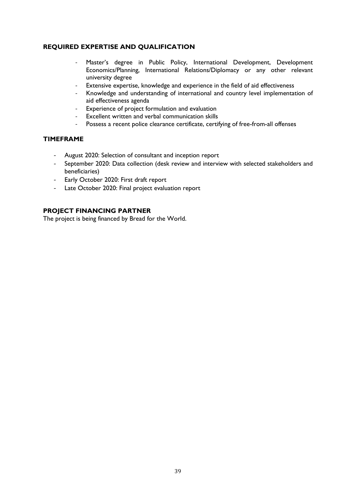# **REQUIRED EXPERTISE AND QUALIFICATION**

- Master's degree in Public Policy, International Development, Development Economics/Planning, International Relations/Diplomacy or any other relevant university degree
- Extensive expertise, knowledge and experience in the field of aid effectiveness
- Knowledge and understanding of international and country level implementation of aid effectiveness agenda
- Experience of project formulation and evaluation
- Excellent written and verbal communication skills
- Possess a recent police clearance certificate, certifying of free-from-all offenses

#### **TIMEFRAME**

- August 2020: Selection of consultant and inception report
- September 2020: Data collection (desk review and interview with selected stakeholders and beneficiaries)
- Early October 2020: First draft report
- Late October 2020: Final project evaluation report

#### **PROJECT FINANCING PARTNER**

The project is being financed by Bread for the World.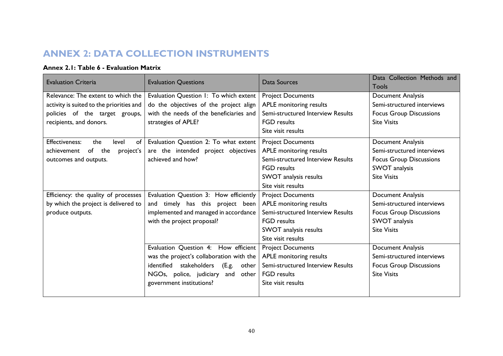# **ANNEX 2: DATA COLLECTION INSTRUMENTS**

# **Annex 2.1: Table 6 - Evaluation Matrix**

| <b>Evaluation Criteria</b>               | <b>Evaluation Questions</b>                  | Data Sources                      | Data Collection Methods and    |
|------------------------------------------|----------------------------------------------|-----------------------------------|--------------------------------|
|                                          |                                              |                                   | <b>Tools</b>                   |
| Relevance: The extent to which the       | Evaluation Question 1: To which extent       | <b>Project Documents</b>          | <b>Document Analysis</b>       |
| activity is suited to the priorities and | do the objectives of the project align       | APLE monitoring results           | Semi-structured interviews     |
| policies of the target groups,           | with the needs of the beneficiaries and      | Semi-structured Interview Results | <b>Focus Group Discussions</b> |
| recipients, and donors.                  | strategies of APLE?                          | <b>FGD</b> results                | <b>Site Visits</b>             |
|                                          |                                              | Site visit results                |                                |
| Effectiveness:<br>the<br>of<br>level     | Evaluation Question 2: To what extent        | <b>Project Documents</b>          | Document Analysis              |
| achievement<br>of the<br>project's       | are the intended project objectives          | APLE monitoring results           | Semi-structured interviews     |
| outcomes and outputs.                    | achieved and how?                            | Semi-structured Interview Results | <b>Focus Group Discussions</b> |
|                                          |                                              | <b>FGD</b> results                | SWOT analysis                  |
|                                          |                                              | SWOT analysis results             | <b>Site Visits</b>             |
|                                          |                                              | Site visit results                |                                |
| Efficiency: the quality of processes     | Evaluation Question 3: How efficiently       | <b>Project Documents</b>          | Document Analysis              |
| by which the project is delivered to     | and timely has this project been             | APLE monitoring results           | Semi-structured interviews     |
| produce outputs.                         | implemented and managed in accordance        | Semi-structured Interview Results | <b>Focus Group Discussions</b> |
|                                          | with the project proposal?                   | <b>FGD</b> results                | SWOT analysis                  |
|                                          |                                              | SWOT analysis results             | <b>Site Visits</b>             |
|                                          |                                              | Site visit results                |                                |
|                                          | Evaluation Question 4: How efficient         | <b>Project Documents</b>          | Document Analysis              |
|                                          | was the project's collaboration with the     | APLE monitoring results           | Semi-structured interviews     |
|                                          | identified<br>stakeholders<br>(E.g.<br>other | Semi-structured Interview Results | <b>Focus Group Discussions</b> |
|                                          | NGOs, police, judiciary<br>and<br>other      | <b>FGD</b> results                | <b>Site Visits</b>             |
|                                          | government institutions?                     | Site visit results                |                                |
|                                          |                                              |                                   |                                |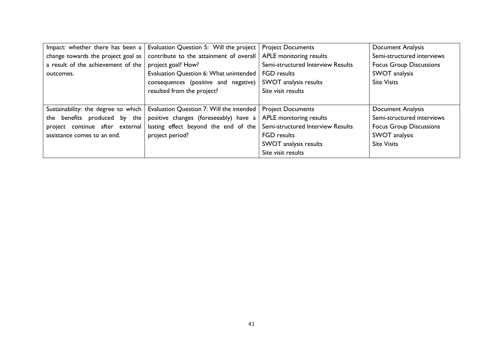| Impact: whether there has been a    | Evaluation Question 5: Will the project  | <b>Project Documents</b>          | Document Analysis              |
|-------------------------------------|------------------------------------------|-----------------------------------|--------------------------------|
| change towards the project goal as  | contribute to the attainment of overall  | APLE monitoring results           | Semi-structured interviews     |
| a result of the achievement of the  | project goal? How?                       | Semi-structured Interview Results | <b>Focus Group Discussions</b> |
| outcomes.                           | Evaluation Question 6: What unintended   | <b>FGD</b> results                | SWOT analysis                  |
|                                     | consequences (positive and negative)     | SWOT analysis results             | <b>Site Visits</b>             |
|                                     | resulted from the project?               | Site visit results                |                                |
|                                     |                                          |                                   |                                |
| Sustainability: the degree to which | Evaluation Question 7: Will the intended | <b>Project Documents</b>          | Document Analysis              |
| the benefits produced by the        | positive changes (foreseeably) have a    | APLE monitoring results           | Semi-structured interviews     |
| project continue after external     | lasting effect beyond the end of the     | Semi-structured Interview Results | <b>Focus Group Discussions</b> |
| assistance comes to an end.         | project period?                          | <b>FGD</b> results                | SWOT analysis                  |
|                                     |                                          | SWOT analysis results             | <b>Site Visits</b>             |
|                                     |                                          | Site visit results                |                                |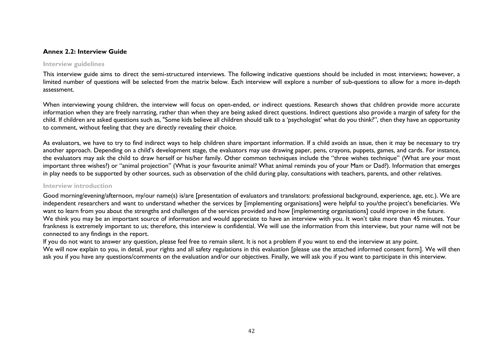#### **Annex 2.2: Interview Guide**

#### **Interview guidelines**

This interview guide aims to direct the semi-structured interviews. The following indicative questions should be included in most interviews; however, a limited number of questions will be selected from the matrix below. Each interview will explore a number of sub-questions to allow for a more in-depth assessment.

When interviewing young children, the interview will focus on open-ended, or indirect questions. Research shows that children provide more accurate information when they are freely narrating, rather than when they are being asked direct questions. Indirect questions also provide a margin of safety for the child. If children are asked questions such as, "Some kids believe all children should talk to a 'psychologist' what do you think?", then they have an opportunity to comment, without feeling that they are directly revealing their choice.

As evaluators, we have to try to find indirect ways to help children share important information. If a child avoids an issue, then it may be necessary to try another approach. Depending on a child's development stage, the evaluators may use drawing paper, pens, crayons, puppets, games, and cards. For instance, the evaluators may ask the child to draw herself or his/her family. Other common techniques include the "three wishes technique" (What are your most important three wishes?) or "animal projection" (What is your favourite animal? What animal reminds you of your Mam or Dad?). Information that emerges in play needs to be supported by other sources, such as observation of the child during play, consultations with teachers, parents, and other relatives.

#### **Interview introduction**

Good morning/evening/afternoon, my/our name(s) is/are [presentation of evaluators and translators: professional background, experience, age, etc.). We are independent researchers and want to understand whether the services by [implementing organisations] were helpful to you/the project's beneficiaries. We want to learn from you about the strengths and challenges of the services provided and how [implementing organisations] could improve in the future. We think you may be an important source of information and would appreciate to have an interview with you. It won't take more than 45 minutes. Your frankness is extremely important to us; therefore, this interview is confidential. We will use the information from this interview, but your name will not be connected to any findings in the report.

If you do not want to answer any question, please feel free to remain silent. It is not a problem if you want to end the interview at any point. We will now explain to you, in detail, your rights and all safety regulations in this evaluation [please use the attached informed consent form]. We will then ask you if you have any questions/comments on the evaluation and/or our objectives. Finally, we will ask you if you want to participate in this interview.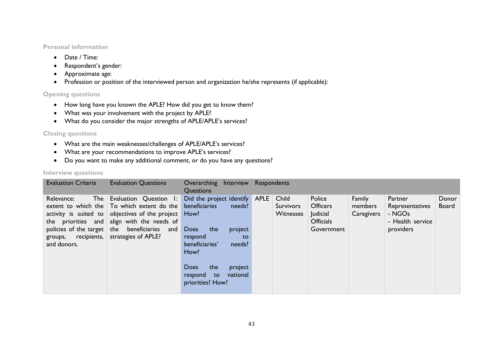#### **Personal information**

- Date / Time:
- Respondent's gender:
- Approximate age:
- Profession or position of the interviewed person and organization he/she represents (if applicable):

#### **Opening questions**

- How long have you known the APLE? How did you get to know them?
- What was your involvement with the project by APLE?
- What do you consider the major strengths of APLE/APLE's services?

#### **Closing questions**

- What are the main weaknesses/challenges of APLE/APLE's services?
- What are your recommendations to improve APLE's services?
- Do you want to make any additional comment, or do you have any questions?

#### **Interview questions**

| <b>Evaluation Criteria</b>                                                                                                                            | <b>Evaluation Questions</b>                                                                                                                                   | Overarching Interview Respondents<br>Questions                                                                                                         |                                               |                                                                         |                                 |                                                                       |                       |
|-------------------------------------------------------------------------------------------------------------------------------------------------------|---------------------------------------------------------------------------------------------------------------------------------------------------------------|--------------------------------------------------------------------------------------------------------------------------------------------------------|-----------------------------------------------|-------------------------------------------------------------------------|---------------------------------|-----------------------------------------------------------------------|-----------------------|
| Relevance:<br>extent to which the<br>activity is suited to<br>policies of the target   the beneficiaries<br>recipients, $ $<br>groups,<br>and donors. | The Evaluation Question I:<br>To which extent do the<br>objectives of the project<br>the priorities and align with the needs of<br>and<br>strategies of APLE? | Did the project identify APLE<br>beneficiaries<br>needs?<br>How?<br><b>Does</b><br>the<br>project<br>respond<br>to<br>beneficiaries'<br>needs?<br>How? | Child<br><b>Survivors</b><br><b>Witnesses</b> | Police<br><b>Officers</b><br>Judicial<br><b>Officials</b><br>Government | Family<br>members<br>Caregivers | Partner<br>Representatives<br>- NGOs<br>- Health service<br>providers | Donor<br><b>Board</b> |
|                                                                                                                                                       |                                                                                                                                                               | the<br><b>Does</b><br>project<br>national<br>respond<br>to:<br>priorities? How?                                                                        |                                               |                                                                         |                                 |                                                                       |                       |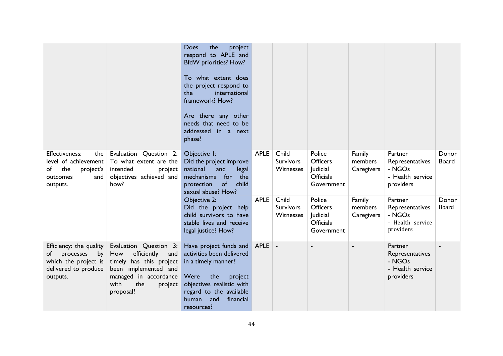|                                                                                                              |                                                                                                                                                                        | Does<br>the<br>project<br>respond to APLE and<br><b>BfdW</b> priorities? How?<br>To what extent does<br>the project respond to<br>the<br>international<br>framework? How?<br>Are there any other<br>needs that need to be<br>addressed in a next<br>phase? |             |                                        |                                                                         |                                 |                                                                       |                       |
|--------------------------------------------------------------------------------------------------------------|------------------------------------------------------------------------------------------------------------------------------------------------------------------------|------------------------------------------------------------------------------------------------------------------------------------------------------------------------------------------------------------------------------------------------------------|-------------|----------------------------------------|-------------------------------------------------------------------------|---------------------------------|-----------------------------------------------------------------------|-----------------------|
| Effectiveness:<br>the<br>level of achievement<br>of<br>the<br>project's<br>outcomes<br>and<br>outputs.       | Evaluation Question 2:<br>To what extent are the<br>intended<br>project<br>objectives achieved and<br>how?                                                             | Objective I:<br>Did the project improve<br>national<br>and<br>legal<br>mechanisms<br>for<br>the<br>of<br>protection<br>child<br>sexual abuse? How?                                                                                                         | <b>APLE</b> | Child<br><b>Survivors</b><br>Witnesses | Police<br><b>Officers</b><br>Judicial<br><b>Officials</b><br>Government | Family<br>members<br>Caregivers | Partner<br>Representatives<br>- NGOs<br>- Health service<br>providers | Donor<br><b>Board</b> |
|                                                                                                              |                                                                                                                                                                        | Objective 2:<br>Did the project help<br>child survivors to have<br>stable lives and receive<br>legal justice? How?                                                                                                                                         | <b>APLE</b> | Child<br><b>Survivors</b><br>Witnesses | Police<br><b>Officers</b><br>Judicial<br><b>Officials</b><br>Government | Family<br>members<br>Caregivers | Partner<br>Representatives<br>- NGOs<br>- Health service<br>providers | Donor<br>Board        |
| Efficiency: the quality<br>processes<br>of<br>by<br>which the project is<br>delivered to produce<br>outputs. | Evaluation Question 3:<br>efficiently<br>How<br>and<br>timely has this project<br>been implemented and<br>managed in accordance<br>with<br>the<br>project<br>proposal? | Have project funds and<br>activities been delivered<br>in a timely manner?<br>Were<br>the<br>project<br>objectives realistic with<br>regard to the available<br>and<br>financial<br>human<br>resources?                                                    | <b>APLE</b> |                                        |                                                                         |                                 | Partner<br>Representatives<br>- NGOs<br>- Health service<br>providers |                       |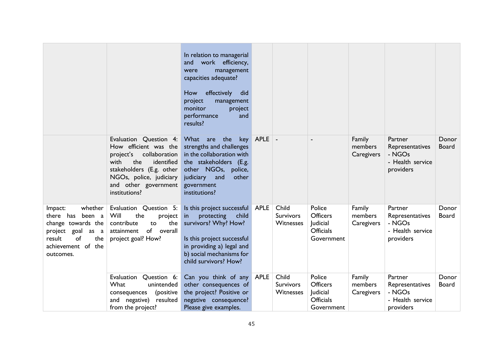|                                                                                                                                                   |                                                                                                                                                                                                            | In relation to managerial<br>work efficiency,<br>and<br>management<br>were<br>capacities adequate?<br>effectively<br>How<br>did<br>project<br>management<br>monitor<br>project<br>performance<br>and<br>results? |             |                                        |                                                                         |                                 |                                                                       |                       |
|---------------------------------------------------------------------------------------------------------------------------------------------------|------------------------------------------------------------------------------------------------------------------------------------------------------------------------------------------------------------|------------------------------------------------------------------------------------------------------------------------------------------------------------------------------------------------------------------|-------------|----------------------------------------|-------------------------------------------------------------------------|---------------------------------|-----------------------------------------------------------------------|-----------------------|
|                                                                                                                                                   | Evaluation Question 4:<br>How efficient was the<br>collaboration<br>project's<br>with<br>the<br>identified<br>stakeholders (E.g. other<br>NGOs, police, judiciary<br>and other government<br>institutions? | What are<br>the<br>key<br>strengths and challenges<br>in the collaboration with<br>the stakeholders (E.g.<br>other NGOs,<br>police,<br>and<br>judiciary<br>other<br>government<br>institutions?                  | <b>APLE</b> |                                        |                                                                         | Family<br>members<br>Caregivers | Partner<br>Representatives<br>- NGOs<br>- Health service<br>providers | Donor<br><b>Board</b> |
| whether<br>Impact:<br>been a<br>there has<br>change towards the<br>project goal<br>as a<br>of<br>result<br>the<br>achievement of the<br>outcomes. | Evaluation Question 5:<br>Will<br>the<br>project<br>contribute<br>the<br>to<br>of overall<br>attainment<br>project goal? How?                                                                              | Is this project successful APLE<br>protecting<br>child<br><i>in</i><br>survivors? Why? How?<br>Is this project successful<br>in providing a) legal and<br>b) social mechanisms for<br>child survivors? How?      |             | Child<br><b>Survivors</b><br>Witnesses | Police<br>Officers<br>Judicial<br><b>Officials</b><br>Government        | Family<br>members<br>Caregivers | Partner<br>Representatives<br>- NGOs<br>- Health service<br>providers | Donor<br>Board        |
|                                                                                                                                                   | Question 6:<br>Evaluation<br>What<br>unintended<br>(positive<br>consequences<br>and negative)<br>resulted<br>from the project?                                                                             | Can you think of any APLE<br>other consequences of<br>the project? Positive or<br>negative consequence?<br>Please give examples.                                                                                 |             | Child<br>Survivors<br>Witnesses        | Police<br><b>Officers</b><br>Judicial<br><b>Officials</b><br>Government | Family<br>members<br>Caregivers | Partner<br>Representatives<br>- NGOs<br>- Health service<br>providers | Donor<br><b>Board</b> |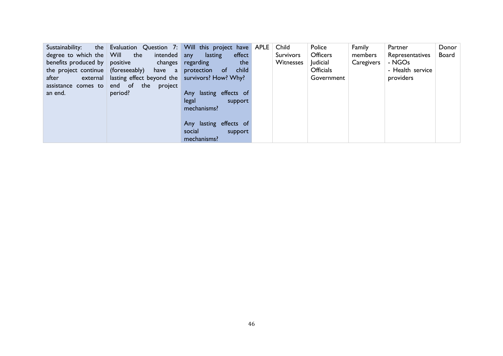| Sustainability:<br>degree to which the Will the<br>benefits produced by positive<br>after<br>assistance comes to<br>an end. | the Evaluation Question 7: Will this project have APLE<br>intended any<br>the project continue (foreseeably) have a<br>external   lasting effect beyond the   survivors? How? Why?<br>end of the<br>project<br>period? | lasting<br>effect<br>changes regarding<br>the<br>child<br>protection<br>of.<br>Any lasting effects of<br>legal<br>support<br>mechanisms? | Child<br>Survivors<br>Witnesses | Police<br><b>Officers</b><br>Judicial<br><b>Officials</b><br>Government | Family<br>members<br>Caregivers | Partner<br>Representatives<br>- NGOs<br>- Health service<br>providers | Donor<br><b>Board</b> |
|-----------------------------------------------------------------------------------------------------------------------------|------------------------------------------------------------------------------------------------------------------------------------------------------------------------------------------------------------------------|------------------------------------------------------------------------------------------------------------------------------------------|---------------------------------|-------------------------------------------------------------------------|---------------------------------|-----------------------------------------------------------------------|-----------------------|
|                                                                                                                             |                                                                                                                                                                                                                        | Any lasting effects of<br>social<br>support<br>mechanisms?                                                                               |                                 |                                                                         |                                 |                                                                       |                       |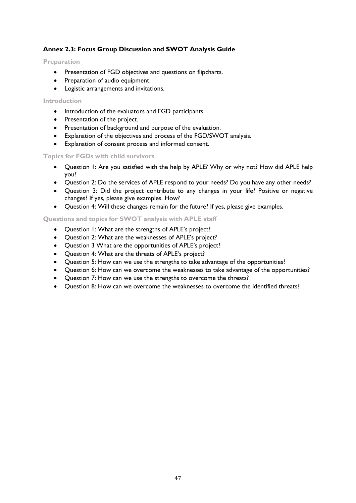# **Annex 2.3: Focus Group Discussion and SWOT Analysis Guide**

#### **Preparation**

- Presentation of FGD objectives and questions on flipcharts.
- Preparation of audio equipment.
- Logistic arrangements and invitations.

#### **Introduction**

- Introduction of the evaluators and FGD participants.
- Presentation of the project.
- Presentation of background and purpose of the evaluation.
- Explanation of the objectives and process of the FGD/SWOT analysis.
- Explanation of consent process and informed consent.

#### **Topics for FGDs with child survivors**

- Question 1: Are you satisfied with the help by APLE? Why or why not? How did APLE help you?
- Question 2: Do the services of APLE respond to your needs? Do you have any other needs?
- Question 3: Did the project contribute to any changes in your life? Positive or negative changes? If yes, please give examples. How?
- Question 4: Will these changes remain for the future? If yes, please give examples.

### **Questions and topics for SWOT analysis with APLE staff**

- Question 1: What are the strengths of APLE's project?
- Question 2: What are the weaknesses of APLE's project?
- Question 3 What are the opportunities of APLE's project?
- Question 4: What are the threats of APLE's project?
- Question 5: How can we use the strengths to take advantage of the opportunities?
- Question 6: How can we overcome the weaknesses to take advantage of the opportunities?
- Question 7: How can we use the strengths to overcome the threats?
- Question 8: How can we overcome the weaknesses to overcome the identified threats?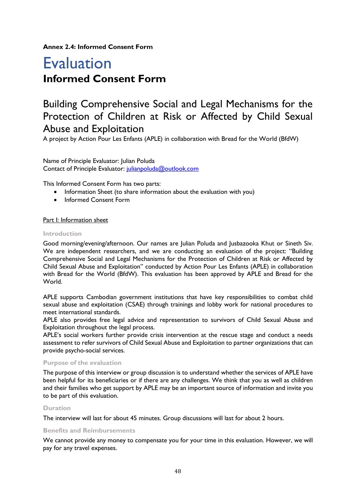**Annex 2.4: Informed Consent Form**

# Evaluation **Informed Consent Form**

# Building Comprehensive Social and Legal Mechanisms for the Protection of Children at Risk or Affected by Child Sexual Abuse and Exploitation

A project by Action Pour Les Enfants (APLE) in collaboration with Bread for the World (BfdW)

Name of Principle Evaluator: Julian Poluda Contact of Principle Evaluator: [julianpoluda@outlook.com](mailto:julianpoluda@outlook.com)

This Informed Consent Form has two parts:

- Information Sheet (to share information about the evaluation with you)
- Informed Consent Form

#### Part I: Information sheet

#### **Introduction**

Good morning/evening/afternoon. Our names are Julian Poluda and Jusbazooka Khut or Sineth Siv. We are independent researchers, and we are conducting an evaluation of the project: "Building Comprehensive Social and Legal Mechanisms for the Protection of Children at Risk or Affected by Child Sexual Abuse and Exploitation" conducted by Action Pour Les Enfants (APLE) in collaboration with Bread for the World (BfdW). This evaluation has been approved by APLE and Bread for the World.

APLE supports Cambodian government institutions that have key responsibilities to combat child sexual abuse and exploitation (CSAE) through trainings and lobby work for national procedures to meet international standards.

APLE also provides free legal advice and representation to survivors of Child Sexual Abuse and Exploitation throughout the legal process.

APLE's social workers further provide crisis intervention at the rescue stage and conduct a needs assessment to refer survivors of Child Sexual Abuse and Exploitation to partner organizations that can provide psycho-social services.

#### **Purpose of the evaluation**

The purpose of this interview or group discussion is to understand whether the services of APLE have been helpful for its beneficiaries or if there are any challenges. We think that you as well as children and their families who get support by APLE may be an important source of information and invite you to be part of this evaluation.

#### **Duration**

The interview will last for about 45 minutes. Group discussions will last for about 2 hours.

#### **Benefits and Reimbursements**

We cannot provide any money to compensate you for your time in this evaluation. However, we will pay for any travel expenses.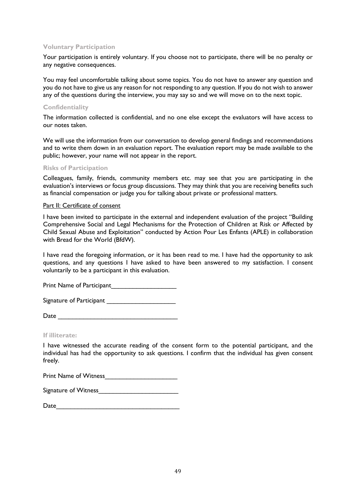#### **Voluntary Participation**

Your participation is entirely voluntary. If you choose not to participate, there will be no penalty or any negative consequences.

You may feel uncomfortable talking about some topics. You do not have to answer any question and you do not have to give us any reason for not responding to any question. If you do not wish to answer any of the questions during the interview, you may say so and we will move on to the next topic.

#### **Confidentiality**

The information collected is confidential, and no one else except the evaluators will have access to our notes taken.

We will use the information from our conversation to develop general findings and recommendations and to write them down in an evaluation report. The evaluation report may be made available to the public; however, your name will not appear in the report.

#### **Risks of Participation**

Colleagues, family, friends, community members etc. may see that you are participating in the evaluation's interviews or focus group discussions. They may think that you are receiving benefits such as financial compensation or judge you for talking about private or professional matters.

#### Part II: Certificate of consent

I have been invited to participate in the external and independent evaluation of the project "Building Comprehensive Social and Legal Mechanisms for the Protection of Children at Risk or Affected by Child Sexual Abuse and Exploitation" conducted by Action Pour Les Enfants (APLE) in collaboration with Bread for the World (BfdW).

I have read the foregoing information, or it has been read to me. I have had the opportunity to ask questions, and any questions I have asked to have been answered to my satisfaction. I consent voluntarily to be a participant in this evaluation.

Print Name of Participant

Signature of Participant

| Date |
|------|
|------|

**If illiterate:**

I have witnessed the accurate reading of the consent form to the potential participant, and the individual has had the opportunity to ask questions. I confirm that the individual has given consent freely.

Print Name of Witness

| Date |
|------|
|------|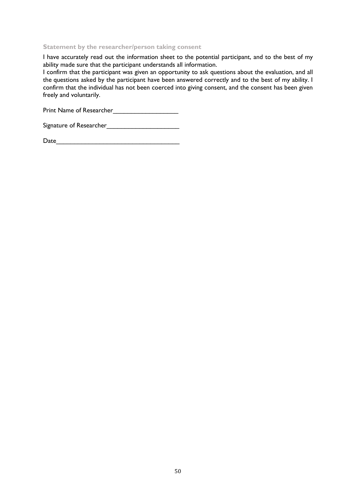#### **Statement by the researcher/person taking consent**

I have accurately read out the information sheet to the potential participant, and to the best of my ability made sure that the participant understands all information.

I confirm that the participant was given an opportunity to ask questions about the evaluation, and all the questions asked by the participant have been answered correctly and to the best of my ability. I confirm that the individual has not been coerced into giving consent, and the consent has been given freely and voluntarily.

Print Name of Researcher\_\_\_\_\_\_\_\_\_\_\_\_\_\_\_\_\_\_

| Signature of Researcher |  |
|-------------------------|--|
|                         |  |

| Date |
|------|
|------|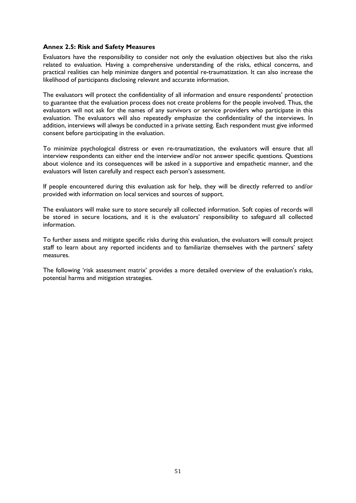#### **Annex 2.5: Risk and Safety Measures**

Evaluators have the responsibility to consider not only the evaluation objectives but also the risks related to evaluation. Having a comprehensive understanding of the risks, ethical concerns, and practical realities can help minimize dangers and potential re-traumatization. It can also increase the likelihood of participants disclosing relevant and accurate information.

The evaluators will protect the confidentiality of all information and ensure respondents' protection to guarantee that the evaluation process does not create problems for the people involved. Thus, the evaluators will not ask for the names of any survivors or service providers who participate in this evaluation. The evaluators will also repeatedly emphasize the confidentiality of the interviews. In addition, interviews will always be conducted in a private setting. Each respondent must give informed consent before participating in the evaluation.

To minimize psychological distress or even re-traumatization, the evaluators will ensure that all interview respondents can either end the interview and/or not answer specific questions. Questions about violence and its consequences will be asked in a supportive and empathetic manner, and the evaluators will listen carefully and respect each person's assessment.

If people encountered during this evaluation ask for help, they will be directly referred to and/or provided with information on local services and sources of support.

The evaluators will make sure to store securely all collected information. Soft copies of records will be stored in secure locations, and it is the evaluators' responsibility to safeguard all collected information.

To further assess and mitigate specific risks during this evaluation, the evaluators will consult project staff to learn about any reported incidents and to familiarize themselves with the partners' safety measures.

The following 'risk assessment matrix' provides a more detailed overview of the evaluation's risks, potential harms and mitigation strategies.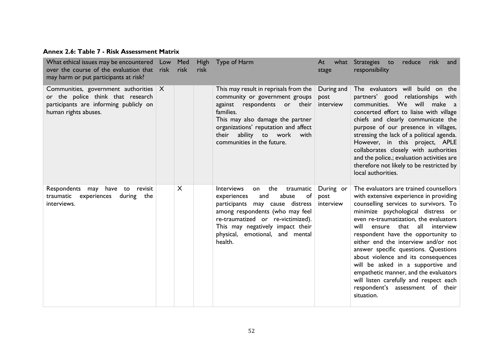# **Annex 2.6: Table 7 - Risk Assessment Matrix**

| What ethical issues may be encountered Low<br>over the course of the evaluation that risk<br>may harm or put participants at risk?         |              | Med<br>risk | <b>High</b><br>risk | Type of Harm                                                                                                                                                                                                                                                                     | At<br>what<br>stage             | Strategies to<br>reduce<br>risk<br>and<br>responsibility                                                                                                                                                                                                                                                                                                                                                                                                                                                                                                                                      |
|--------------------------------------------------------------------------------------------------------------------------------------------|--------------|-------------|---------------------|----------------------------------------------------------------------------------------------------------------------------------------------------------------------------------------------------------------------------------------------------------------------------------|---------------------------------|-----------------------------------------------------------------------------------------------------------------------------------------------------------------------------------------------------------------------------------------------------------------------------------------------------------------------------------------------------------------------------------------------------------------------------------------------------------------------------------------------------------------------------------------------------------------------------------------------|
| Communities, government authorities<br>or the police think that research<br>participants are informing publicly on<br>human rights abuses. | $\mathsf{X}$ |             |                     | This may result in reprisals from the<br>community or government groups<br>respondents or their<br>against<br>families.<br>This may also damage the partner<br>organizations' reputation and affect<br>ability to work<br>their<br>with<br>communities in the future.            | During and<br>post<br>interview | The evaluators will build on the<br>partners' good relationships with<br>communities. We will make a<br>concerted effort to liaise with village<br>chiefs and clearly communicate the<br>purpose of our presence in villages,<br>stressing the lack of a political agenda.<br>However, in this project, APLE<br>collaborates closely with authorities<br>and the police.; evaluation activities are<br>therefore not likely to be restricted by<br>local authorities.                                                                                                                         |
| Respondents may have to revisit<br>traumatic experiences<br>during<br>the<br>interviews.                                                   |              | X           |                     | <b>Interviews</b><br>the<br>traumatic<br>on<br>abuse<br>of<br>experiences<br>and<br>may cause distress<br>participants<br>among respondents (who may feel<br>re-traumatized or re-victimized).<br>This may negatively impact their<br>physical, emotional, and mental<br>health. | During or<br>post<br>interview  | The evaluators are trained counsellors<br>with extensive experience in providing<br>counselling services to survivors. To<br>minimize psychological distress or<br>even re-traumatization, the evaluators<br>will<br>that<br>all<br>ensure<br>interview<br>respondent have the opportunity to<br>either end the interview and/or not<br>answer specific questions. Questions<br>about violence and its consequences<br>will be asked in a supportive and<br>empathetic manner, and the evaluators<br>will listen carefully and respect each<br>respondent's assessment of their<br>situation. |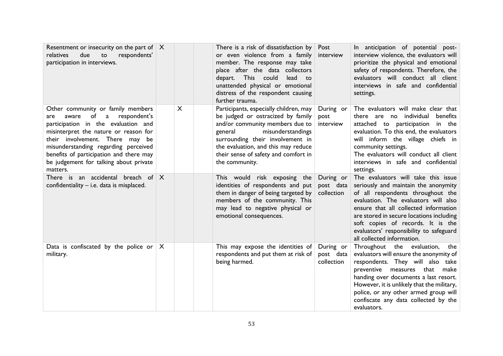| Resentment or insecurity on the part of $ X $<br>relatives<br>due<br>to<br>respondents'<br>participation in interviews.                                                                                                                                                                                                                  |              |   | There is a risk of dissatisfaction by<br>or even violence from a family<br>member. The response may take<br>place after the data collectors<br>depart. This could<br>lead to<br>unattended physical or emotional<br>distress of the respondent causing<br>further trauma.           | Post<br>interview                    | In anticipation of potential post-<br>interview violence, the evaluators will<br>prioritize the physical and emotional<br>safety of respondents. Therefore, the<br>evaluators will conduct all client<br>interviews in safe and confidential<br>settings.                                                                                                   |
|------------------------------------------------------------------------------------------------------------------------------------------------------------------------------------------------------------------------------------------------------------------------------------------------------------------------------------------|--------------|---|-------------------------------------------------------------------------------------------------------------------------------------------------------------------------------------------------------------------------------------------------------------------------------------|--------------------------------------|-------------------------------------------------------------------------------------------------------------------------------------------------------------------------------------------------------------------------------------------------------------------------------------------------------------------------------------------------------------|
| Other community or family members<br>of<br>respondent's<br>a<br>aware<br>are<br>participation in the evaluation and<br>misinterpret the nature or reason for<br>their involvement. There may be<br>misunderstanding regarding perceived<br>benefits of participation and there may<br>be judgement for talking about private<br>matters. |              | X | Participants, especially children, may<br>be judged or ostracized by family<br>and/or community members due to<br>misunderstandings<br>general<br>surrounding their involvement in<br>the evaluation, and this may reduce<br>their sense of safety and comfort in<br>the community. | During or<br>post<br>interview       | The evaluators will make clear that<br>there are no individual<br>benefits<br>attached to participation in the<br>evaluation. To this end, the evaluators<br>will inform the village chiefs in<br>community settings.<br>The evaluators will conduct all client<br>interviews in safe and confidential<br>settings.                                         |
| There is an accidental breach of $X$<br>confidentiality - i.e. data is misplaced.                                                                                                                                                                                                                                                        |              |   | This would risk exposing the<br>identities of respondents and put<br>them in danger of being targeted by<br>members of the community. This<br>may lead to negative physical or<br>emotional consequences.                                                                           | During or<br>post data<br>collection | The evaluators will take this issue<br>seriously and maintain the anonymity<br>of all respondents throughout the<br>evaluation. The evaluators will also<br>ensure that all collected information<br>are stored in secure locations including<br>soft copies of records. It is the<br>evaluators' responsibility to safeguard<br>all collected information. |
| Data is confiscated by the police or<br>military.                                                                                                                                                                                                                                                                                        | $\mathsf{X}$ |   | This may expose the identities of<br>respondents and put them at risk of<br>being harmed.                                                                                                                                                                                           | During or<br>post data<br>collection | Throughout the evaluation, the<br>evaluators will ensure the anonymity of<br>respondents. They will also take<br>preventive measures that make<br>handing over documents a last resort.<br>However, it is unlikely that the military,<br>police, or any other armed group will<br>confiscate any data collected by the<br>evaluators.                       |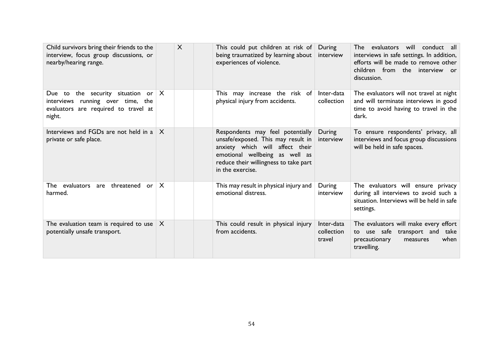| Child survivors bring their friends to the<br>interview, focus group discussions, or<br>nearby/hearing range.                 |              | X | This could put children at risk of<br>being traumatized by learning about<br>experiences of violence.                                                                                                    | During<br>interview                | evaluators will conduct all<br>The .<br>interviews in safe settings. In addition,<br>efforts will be made to remove other<br>children from the interview or<br>discussion. |
|-------------------------------------------------------------------------------------------------------------------------------|--------------|---|----------------------------------------------------------------------------------------------------------------------------------------------------------------------------------------------------------|------------------------------------|----------------------------------------------------------------------------------------------------------------------------------------------------------------------------|
| Due to the security situation or $ X $<br>interviews running over time, the<br>evaluators are required to travel at<br>night. |              |   | This may increase the risk of<br>physical injury from accidents.                                                                                                                                         | Inter-data<br>collection           | The evaluators will not travel at night<br>and will terminate interviews in good<br>time to avoid having to travel in the<br>dark.                                         |
| Interviews and FGDs are not held in a<br>private or safe place.                                                               | $\times$     |   | Respondents may feel potentially<br>unsafe/exposed. This may result in<br>anxiety which will affect their<br>emotional wellbeing as well as<br>reduce their willingness to take part<br>in the exercise. | During<br>interview                | To ensure respondents' privacy, all<br>interviews and focus group discussions<br>will be held in safe spaces.                                                              |
| The evaluators are threatened or<br>harmed.                                                                                   | $\mathsf{X}$ |   | This may result in physical injury and<br>emotional distress.                                                                                                                                            | During<br>interview                | The evaluators will ensure privacy<br>during all interviews to avoid such a<br>situation. Interviews will be held in safe<br>settings.                                     |
| The evaluation team is required to use<br>potentially unsafe transport.                                                       | X            |   | This could result in physical injury<br>from accidents.                                                                                                                                                  | Inter-data<br>collection<br>travel | The evaluators will make every effort<br>to use safe transport and<br>take<br>when<br>precautionary<br>measures<br>travelling.                                             |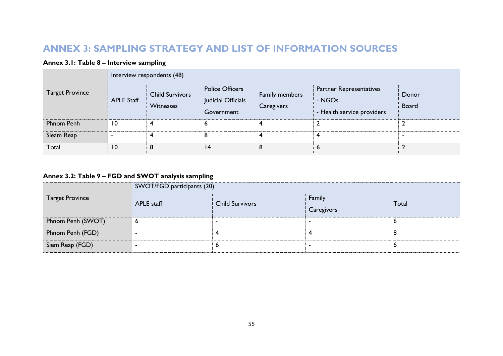# **ANNEX 3: SAMPLING STRATEGY AND LIST OF INFORMATION SOURCES**

# **Annex 3.1: Table 8 – Interview sampling**

|                        |                          | Interview respondents (48)          |                                                                                            |   |                                                                        |                       |
|------------------------|--------------------------|-------------------------------------|--------------------------------------------------------------------------------------------|---|------------------------------------------------------------------------|-----------------------|
| <b>Target Province</b> | <b>APLE Staff</b>        | <b>Child Survivors</b><br>Witnesses | <b>Police Officers</b><br>Family members<br>Judicial Officials<br>Caregivers<br>Government |   | <b>Partner Representatives</b><br>- NGOs<br>- Health service providers | Donor<br><b>Board</b> |
| Phnom Penh             | 10                       |                                     |                                                                                            |   |                                                                        |                       |
| Sieam Reap             | $\overline{\phantom{a}}$ |                                     |                                                                                            |   |                                                                        |                       |
| Total                  | 10                       | 8                                   | 4                                                                                          | 8 | ь                                                                      |                       |

# **Annex 3.2: Table 9 – FGD and SWOT analysis sampling**

|                        | SWOT/FGD participants (20) |                        |                      |       |  |  |  |
|------------------------|----------------------------|------------------------|----------------------|-------|--|--|--|
| <b>Target Province</b> | <b>APLE</b> staff          | <b>Child Survivors</b> | Family<br>Caregivers | Total |  |  |  |
| Phnom Penh (SWOT)      | O                          |                        |                      | ю     |  |  |  |
| Phnom Penh (FGD)       |                            |                        |                      |       |  |  |  |
| Siem Reap (FGD)        |                            |                        |                      | O     |  |  |  |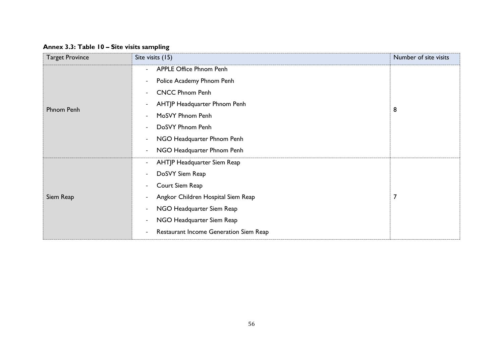# **Annex 3.3: Table 10 – Site visits sampling**

| <b>Target Province</b> | Site visits (15)                                               | Number of site visits |
|------------------------|----------------------------------------------------------------|-----------------------|
|                        | <b>APPLE Office Phnom Penh</b><br>$\overline{\phantom{a}}$     | 8                     |
|                        | Police Academy Phnom Penh<br>$\overline{\phantom{a}}$          |                       |
|                        | <b>CNCC Phnom Penh</b><br>$\overline{\phantom{a}}$             |                       |
| Phnom Penh             | AHTJP Headquarter Phnom Penh<br>$\overline{\phantom{a}}$       |                       |
|                        | MoSVY Phnom Penh<br>$\overline{\phantom{a}}$                   |                       |
|                        | DoSVY Phnom Penh<br>$\overline{\phantom{a}}$                   |                       |
|                        | NGO Headquarter Phnom Penh<br>$\overline{\phantom{a}}$         |                       |
|                        | NGO Headquarter Phnom Penh<br>$\overline{\phantom{a}}$         |                       |
|                        | AHTJP Headquarter Siem Reap<br>$\overline{\phantom{a}}$        |                       |
| Siem Reap              | DoSVY Siem Reap<br>$\overline{\phantom{a}}$                    |                       |
|                        | Court Siem Reap<br>$\overline{\phantom{a}}$                    |                       |
|                        | Angkor Children Hospital Siem Reap<br>$\overline{\phantom{a}}$ | $\overline{7}$        |
|                        | NGO Headquarter Siem Reap<br>$\overline{\phantom{a}}$          |                       |
|                        | NGO Headquarter Siem Reap<br>$\overline{\phantom{a}}$          |                       |
|                        | Restaurant Income Generation Siem Reap                         |                       |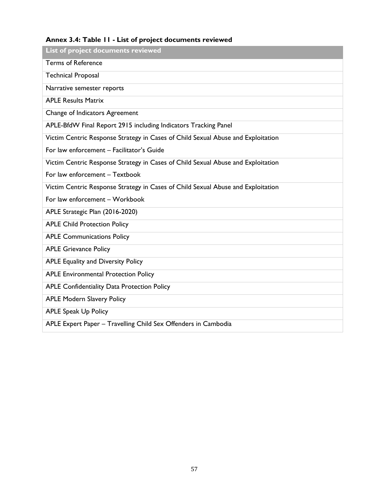# **Annex 3.4: Table 11 - List of project documents reviewed**

| List of project documents reviewed                                               |
|----------------------------------------------------------------------------------|
| <b>Terms of Reference</b>                                                        |
| <b>Technical Proposal</b>                                                        |
| Narrative semester reports                                                       |
| <b>APLE Results Matrix</b>                                                       |
| Change of Indicators Agreement                                                   |
| APLE-BfdW Final Report 2915 including Indicators Tracking Panel                  |
| Victim Centric Response Strategy in Cases of Child Sexual Abuse and Exploitation |
| For law enforcement - Facilitator's Guide                                        |
| Victim Centric Response Strategy in Cases of Child Sexual Abuse and Exploitation |
| For law enforcement - Textbook                                                   |
| Victim Centric Response Strategy in Cases of Child Sexual Abuse and Exploitation |
| For law enforcement - Workbook                                                   |
| APLE Strategic Plan (2016-2020)                                                  |
| <b>APLE Child Protection Policy</b>                                              |
| <b>APLE Communications Policy</b>                                                |
| <b>APLE Grievance Policy</b>                                                     |
| <b>APLE Equality and Diversity Policy</b>                                        |
| <b>APLE Environmental Protection Policy</b>                                      |
| APLE Confidentiality Data Protection Policy                                      |
| <b>APLE Modern Slavery Policy</b>                                                |
| <b>APLE Speak Up Policy</b>                                                      |
| APLE Expert Paper - Travelling Child Sex Offenders in Cambodia                   |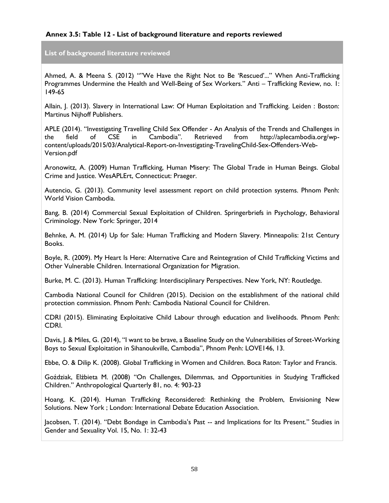### **Annex 3.5: Table 12 - List of background literature and reports reviewed**

**List of background literature reviewed**

Ahmed, A. & Meena S. (2012) ""We Have the Right Not to Be 'Rescued'..." When Anti-Trafficking Programmes Undermine the Health and Well-Being of Sex Workers." Anti – Trafficking Review, no. 1: 149-65

Allain, J. (2013). Slavery in International Law: Of Human Exploitation and Trafficking. Leiden : Boston: Martinus Nijhoff Publishers.

APLE (2014). "Investigating Travelling Child Sex Offender - An Analysis of the Trends and Challenges in the field of CSE in Cambodia". Retrieved from http://aplecambodia.org/wpcontent/uploads/2015/03/Analytical-Report-on-Investigating-TravelingChild-Sex-Offenders-Web-Version.pdf

Aronowitz, A. (2009) Human Trafficking, Human Misery: The Global Trade in Human Beings. Global Crime and Justice. WesAPLErt, Connecticut: Praeger.

Autencio, G. (2013). Community level assessment report on child protection systems. Phnom Penh: World Vision Cambodia.

Bang, B. (2014) Commercial Sexual Exploitation of Children. Springerbriefs in Psychology, Behavioral Criminology. New York: Springer, 2014

Behnke, A. M. (2014) Up for Sale: Human Trafficking and Modern Slavery. Minneapolis: 21st Century Books.

Boyle, R. (2009). My Heart Is Here: Alternative Care and Reintegration of Child Trafficking Victims and Other Vulnerable Children. International Organization for Migration.

Burke, M. C. (2013). Human Trafficking: Interdisciplinary Perspectives. New York, NY: Routledge.

Cambodia National Council for Children (2015). Decision on the establishment of the national child protection commission. Phnom Penh: Cambodia National Council for Children.

CDRI (2015). Eliminating Exploitative Child Labour through education and livelihoods. Phnom Penh: CDRI.

Davis, J. & Miles, G. (2014), "I want to be brave, a Baseline Study on the Vulnerabilities of Street-Working Boys to Sexual Exploitation in Sihanoukville, Cambodia", Phnom Penh: LOVE146, 13.

Ebbe, O. & Dilip K. (2008). Global Trafficking in Women and Children. Boca Raton: Taylor and Francis.

Goździak, Elżbieta M. (2008) "On Challenges, Dilemmas, and Opportunities in Studying Trafficked Children." Anthropological Quarterly 81, no. 4: 903-23

Hoang, K. (2014). Human Trafficking Reconsidered: Rethinking the Problem, Envisioning New Solutions. New York ; London: International Debate Education Association.

Jacobsen, T. (2014). "Debt Bondage in Cambodia's Past -- and Implications for Its Present." Studies in Gender and Sexuality Vol. 15, No. 1: 32-43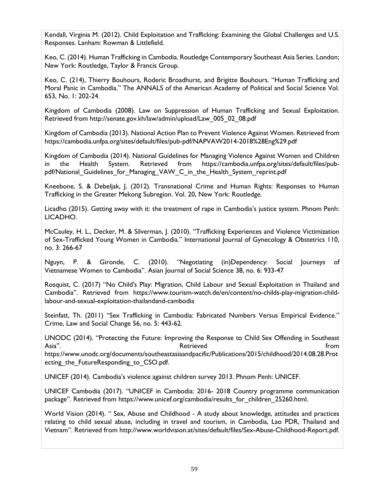Kendall, Virginia M. (2012). Child Exploitation and Trafficking: Examining the Global Challenges and U.S. Responses. Lanham: Rowman & Littlefield.

Keo, C. (2014). Human Trafficking in Cambodia. Routledge Contemporary Southeast Asia Series. London; New York: Routledge, Taylor & Francis Group.

Keo, C. (214), Thierry Bouhours, Roderic Broadhurst, and Brigitte Bouhours. "Human Trafficking and Moral Panic in Cambodia." The ANNALS of the American Academy of Political and Social Science Vol. 653, No. 1: 202-24.

Kingdom of Cambodia (2008). Law on Suppression of Human Trafficking and Sexual Exploitation. Retrieved from [http://senate.gov.kh/law/admin/upload/Law\\_005\\_02\\_08.pdf](http://senate.gov.kh/law/admin/upload/Law_005_02_08.pdf)

Kingdom of Cambodia (2013). National Action Plan to Prevent Violence Against Women. Retrieved from https://cambodia.unfpa.org/sites/default/files/pub-pdf/NAPVAW2014-2018%28Eng%29.pdf

Kingdom of Cambodia (2014). National Guidelines for Managing Violence Against Women and Children in the Health System. Retrieved from https://cambodia.unfpa.org/sites/default/files/pubpdf/National Guidelines for Managing VAW C in the Health System reprint.pdf

Kneebone, S. & Debeljak, J. (2012). Transnational Crime and Human Rights: Responses to Human Trafficking in the Greater Mekong Subregion. Vol. 20, New York: Routledge.

Licadho (2015). Getting away with it: the treatment of rape in Cambodia's justice system. Phnom Penh: LICADHO.

McCauley, H. L., Decker, M. & Silverman, J. (2010). "Trafficking Experiences and Violence Victimization of Sex-Trafficked Young Women in Cambodia." International Journal of Gynecology & Obstetrics 110, no. 3: 266-67

Nguyn, P. & Gironde, C. (2010). "Negotiating (in)Dependency: Social Journeys of Vietnamese Women to Cambodia". Asian Journal of Social Science 38, no. 6: 933-47

Rosquist, C. (2017) "No Child's Play: Migration, Child Labour and Sexual Exploitation in Thailand and Cambodia". Retrieved from https://www.tourism-watch.de/en/content/no-childs-play-migration-childlabour-and-sexual-exploitation-thailandand-cambodia

Steinfatt, Th. (2011) "Sex Trafficking in Cambodia: Fabricated Numbers Versus Empirical Evidence." Crime, Law and Social Change 56, no. 5: 443-62.

UNODC (2014). "Protecting the Future: Improving the Response to Child Sex Offending in Southeast Asia". Retrieved from https://www.unodc.org/documents/southeastasiaandpacific/Publications/2015/childhood/2014.08.28.Prot ecting the FutureResponding to CSO.pdf.

UNICEF (2014). Cambodia's violence against children survey 2013. Phnom Penh: UNICEF.

UNICEF Cambodia (2017). "UNICEF in Cambodia: 2016- 2018 Country programme communication package". Retrieved from https://www.unicef.org/cambodia/results\_for\_children\_25260.html.

World Vision (2014). " Sex, Abuse and Childhood - A study about knowledge, attitudes and practices relating to child sexual abuse, including in travel and tourism, in Cambodia, Lao PDR, Thailand and Vietnam". Retrieved from http://www.worldvision.at/sites/default/files/Sex-Abuse-Childhood-Report.pdf.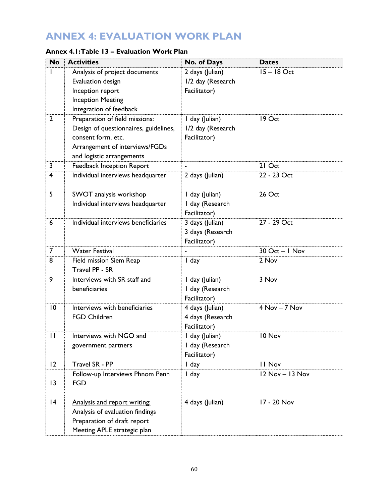# **ANNEX 4: EVALUATION WORK PLAN**

| Annex 4.1:Table 13 – Evaluation Work Plan |  |  |  |
|-------------------------------------------|--|--|--|
|-------------------------------------------|--|--|--|

| <b>No</b>       | <b>Activities</b>                                                                                                                                            | No. of Days                                          | <b>Dates</b>     |
|-----------------|--------------------------------------------------------------------------------------------------------------------------------------------------------------|------------------------------------------------------|------------------|
|                 | Analysis of project documents<br>Evaluation design<br>Inception report<br><b>Inception Meeting</b><br>Integration of feedback                                | 2 days (Julian)<br>1/2 day (Research<br>Facilitator) | $15 - 18$ Oct    |
| $\overline{2}$  | Preparation of field missions:<br>Design of questionnaires, guidelines,<br>consent form, etc.<br>Arrangement of interviews/FGDs<br>and logistic arrangements | I day (Julian)<br>1/2 day (Research<br>Facilitator)  | 19 Oct           |
| $\mathbf{3}$    | Feedback Inception Report                                                                                                                                    |                                                      | 21 Oct           |
| 4               | Individual interviews headquarter                                                                                                                            | 2 days (Julian)                                      | 22 - 23 Oct      |
| 5               | SWOT analysis workshop<br>Individual interviews headquarter                                                                                                  | I day (Julian)<br>I day (Research<br>Facilitator)    | 26 Oct           |
| 6               | Individual interviews beneficiaries                                                                                                                          | 3 days (Julian)<br>3 days (Research<br>Facilitator)  | 27 - 29 Oct      |
| $\overline{7}$  | <b>Water Festival</b>                                                                                                                                        |                                                      | $30$ Oct - I Nov |
| 8               | Field mission Siem Reap<br>Travel PP - SR                                                                                                                    | I day                                                | 2 Nov            |
| 9               | Interviews with SR staff and<br>beneficiaries                                                                                                                | I day (Julian)<br>I day (Research<br>Facilitator)    | 3 Nov            |
| $\overline{10}$ | Interviews with beneficiaries<br><b>FGD Children</b>                                                                                                         | 4 days (Julian)<br>4 days (Research<br>Facilitator)  | $4$ Nov $-7$ Nov |
| $\mathbf{H}$    | Interviews with NGO and<br>government partners                                                                                                               | I day (Julian)<br>I day (Research<br>Facilitator)    | 10 Nov           |
| 12              | Travel SR - PP                                                                                                                                               | I day                                                | II Nov           |
| 3               | Follow-up Interviews Phnom Penh<br><b>FGD</b>                                                                                                                | I day                                                | 12 Nov - 13 Nov  |
| 4               | Analysis and report writing:<br>Analysis of evaluation findings<br>Preparation of draft report<br>Meeting APLE strategic plan                                | 4 days (Julian)                                      | 17 - 20 Nov      |